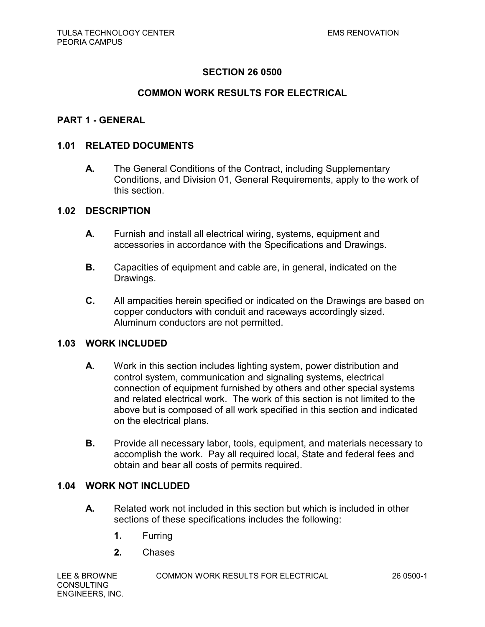## **COMMON WORK RESULTS FOR ELECTRICAL**

### **PART 1 - GENERAL**

### **1.01 RELATED DOCUMENTS**

**A.** The General Conditions of the Contract, including Supplementary Conditions, and Division 01, General Requirements, apply to the work of this section.

### **1.02 DESCRIPTION**

- **A.** Furnish and install all electrical wiring, systems, equipment and accessories in accordance with the Specifications and Drawings.
- **B.** Capacities of equipment and cable are, in general, indicated on the Drawings.
- **C.** All ampacities herein specified or indicated on the Drawings are based on copper conductors with conduit and raceways accordingly sized. Aluminum conductors are not permitted.

### **1.03 WORK INCLUDED**

- **A.** Work in this section includes lighting system, power distribution and control system, communication and signaling systems, electrical connection of equipment furnished by others and other special systems and related electrical work. The work of this section is not limited to the above but is composed of all work specified in this section and indicated on the electrical plans.
- **B.** Provide all necessary labor, tools, equipment, and materials necessary to accomplish the work. Pay all required local, State and federal fees and obtain and bear all costs of permits required.

#### **1.04 WORK NOT INCLUDED**

- **A.** Related work not included in this section but which is included in other sections of these specifications includes the following:
	- **1.** Furring
	- **2.** Chases

**CONSULTING** ENGINEERS, INC.

LEE & BROWNE COMMON WORK RESULTS FOR ELECTRICAL 26 0500-1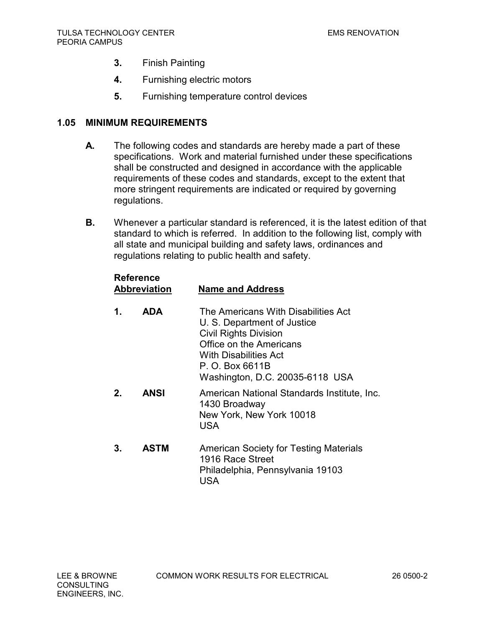- **3.** Finish Painting
- **4.** Furnishing electric motors
- **5.** Furnishing temperature control devices

## **1.05 MINIMUM REQUIREMENTS**

- **A.** The following codes and standards are hereby made a part of these specifications. Work and material furnished under these specifications shall be constructed and designed in accordance with the applicable requirements of these codes and standards, except to the extent that more stringent requirements are indicated or required by governing regulations.
- **B.** Whenever a particular standard is referenced, it is the latest edition of that standard to which is referred. In addition to the following list, comply with all state and municipal building and safety laws, ordinances and regulations relating to public health and safety.

# **Reference**

| <b>Abbreviation</b> |             | <b>Name and Address</b>                                                                                                                                                                                             |  |
|---------------------|-------------|---------------------------------------------------------------------------------------------------------------------------------------------------------------------------------------------------------------------|--|
| 1.                  | <b>ADA</b>  | The Americans With Disabilities Act<br>U. S. Department of Justice<br><b>Civil Rights Division</b><br>Office on the Americans<br><b>With Disabilities Act</b><br>P. O. Box 6611B<br>Washington, D.C. 20035-6118 USA |  |
| 2.                  | <b>ANSI</b> | American National Standards Institute, Inc.<br>1430 Broadway<br>New York, New York 10018<br><b>USA</b>                                                                                                              |  |
| 3.                  | <b>ASTM</b> | <b>American Society for Testing Materials</b><br>1916 Race Street<br>Philadelphia, Pennsylvania 19103                                                                                                               |  |

USA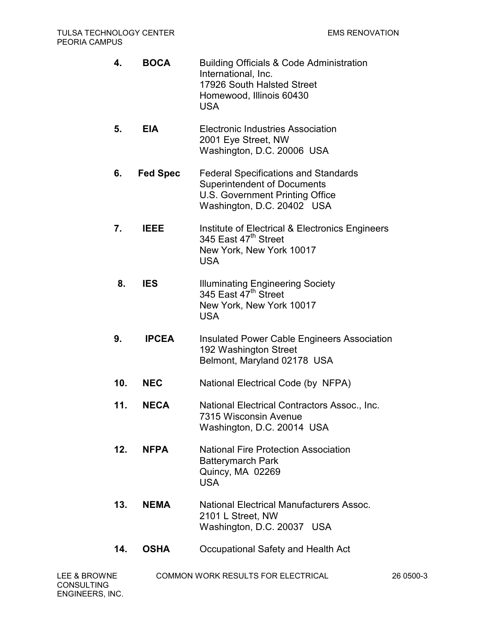| 4.  | <b>BOCA</b>     | <b>Building Officials &amp; Code Administration</b><br>International, Inc.<br>17926 South Halsted Street<br>Homewood, Illinois 60430<br><b>USA</b> |
|-----|-----------------|----------------------------------------------------------------------------------------------------------------------------------------------------|
| 5.  | <b>EIA</b>      | <b>Electronic Industries Association</b><br>2001 Eye Street, NW<br>Washington, D.C. 20006 USA                                                      |
| 6.  | <b>Fed Spec</b> | <b>Federal Specifications and Standards</b><br><b>Superintendent of Documents</b><br>U.S. Government Printing Office<br>Washington, D.C. 20402 USA |
| 7.  | <b>IEEE</b>     | Institute of Electrical & Electronics Engineers<br>345 East 47 <sup>th</sup> Street<br>New York, New York 10017<br><b>USA</b>                      |
| 8.  | <b>IES</b>      | <b>Illuminating Engineering Society</b><br>345 East 47 <sup>th</sup> Street<br>New York, New York 10017<br><b>USA</b>                              |
| 9.  | <b>IPCEA</b>    | <b>Insulated Power Cable Engineers Association</b><br>192 Washington Street<br>Belmont, Maryland 02178 USA                                         |
| 10. | <b>NEC</b>      | National Electrical Code (by NFPA)                                                                                                                 |
| 11. | <b>NECA</b>     | National Electrical Contractors Assoc., Inc.<br>7315 Wisconsin Avenue<br>Washington, D.C. 20014 USA                                                |
| 12. | <b>NFPA</b>     | <b>National Fire Protection Association</b><br><b>Batterymarch Park</b><br>Quincy, MA 02269<br><b>USA</b>                                          |
| 13. | <b>NEMA</b>     | <b>National Electrical Manufacturers Assoc.</b><br>2101 L Street, NW<br>Washington, D.C. 20037 USA                                                 |
| 14. | <b>OSHA</b>     | Occupational Safety and Health Act                                                                                                                 |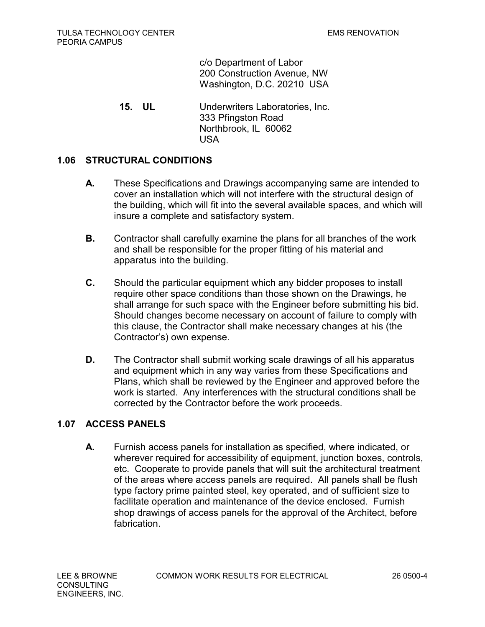c/o Department of Labor 200 Construction Avenue, NW Washington, D.C. 20210 USA

 **15. UL** Underwriters Laboratories, Inc. 333 Pfingston Road Northbrook, IL 60062 USA

# **1.06 STRUCTURAL CONDITIONS**

- **A.** These Specifications and Drawings accompanying same are intended to cover an installation which will not interfere with the structural design of the building, which will fit into the several available spaces, and which will insure a complete and satisfactory system.
- **B.** Contractor shall carefully examine the plans for all branches of the work and shall be responsible for the proper fitting of his material and apparatus into the building.
- **C.** Should the particular equipment which any bidder proposes to install require other space conditions than those shown on the Drawings, he shall arrange for such space with the Engineer before submitting his bid. Should changes become necessary on account of failure to comply with this clause, the Contractor shall make necessary changes at his (the Contractor's) own expense.
- **D.** The Contractor shall submit working scale drawings of all his apparatus and equipment which in any way varies from these Specifications and Plans, which shall be reviewed by the Engineer and approved before the work is started. Any interferences with the structural conditions shall be corrected by the Contractor before the work proceeds.

# **1.07 ACCESS PANELS**

**A.** Furnish access panels for installation as specified, where indicated, or wherever required for accessibility of equipment, junction boxes, controls, etc. Cooperate to provide panels that will suit the architectural treatment of the areas where access panels are required. All panels shall be flush type factory prime painted steel, key operated, and of sufficient size to facilitate operation and maintenance of the device enclosed. Furnish shop drawings of access panels for the approval of the Architect, before fabrication.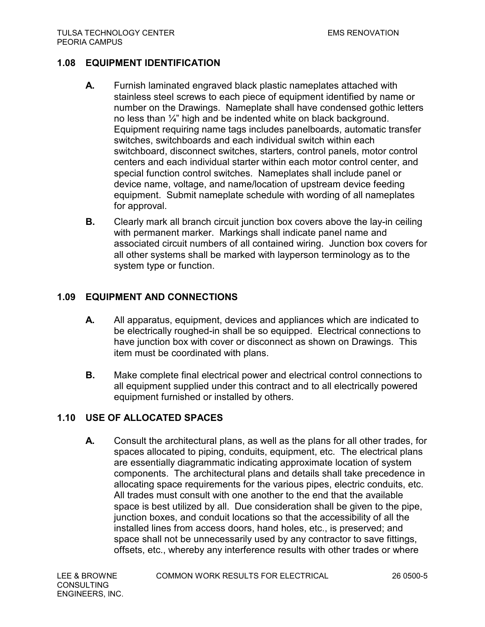# **1.08 EQUIPMENT IDENTIFICATION**

- **A.** Furnish laminated engraved black plastic nameplates attached with stainless steel screws to each piece of equipment identified by name or number on the Drawings. Nameplate shall have condensed gothic letters no less than ¼" high and be indented white on black background. Equipment requiring name tags includes panelboards, automatic transfer switches, switchboards and each individual switch within each switchboard, disconnect switches, starters, control panels, motor control centers and each individual starter within each motor control center, and special function control switches. Nameplates shall include panel or device name, voltage, and name/location of upstream device feeding equipment. Submit nameplate schedule with wording of all nameplates for approval.
- **B.** Clearly mark all branch circuit junction box covers above the lay-in ceiling with permanent marker. Markings shall indicate panel name and associated circuit numbers of all contained wiring. Junction box covers for all other systems shall be marked with layperson terminology as to the system type or function.

# **1.09 EQUIPMENT AND CONNECTIONS**

- **A.** All apparatus, equipment, devices and appliances which are indicated to be electrically roughed-in shall be so equipped. Electrical connections to have junction box with cover or disconnect as shown on Drawings. This item must be coordinated with plans.
- **B.** Make complete final electrical power and electrical control connections to all equipment supplied under this contract and to all electrically powered equipment furnished or installed by others.

# **1.10 USE OF ALLOCATED SPACES**

**A.** Consult the architectural plans, as well as the plans for all other trades, for spaces allocated to piping, conduits, equipment, etc. The electrical plans are essentially diagrammatic indicating approximate location of system components. The architectural plans and details shall take precedence in allocating space requirements for the various pipes, electric conduits, etc. All trades must consult with one another to the end that the available space is best utilized by all. Due consideration shall be given to the pipe, junction boxes, and conduit locations so that the accessibility of all the installed lines from access doors, hand holes, etc., is preserved; and space shall not be unnecessarily used by any contractor to save fittings, offsets, etc., whereby any interference results with other trades or where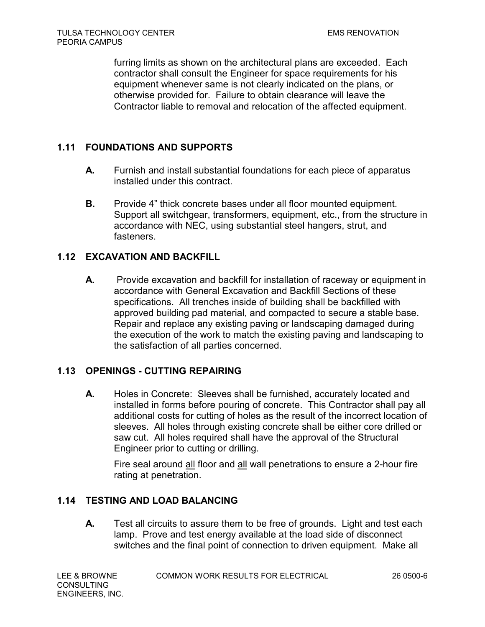furring limits as shown on the architectural plans are exceeded. Each contractor shall consult the Engineer for space requirements for his equipment whenever same is not clearly indicated on the plans, or otherwise provided for. Failure to obtain clearance will leave the Contractor liable to removal and relocation of the affected equipment.

# **1.11 FOUNDATIONS AND SUPPORTS**

- **A.** Furnish and install substantial foundations for each piece of apparatus installed under this contract.
- **B.** Provide 4" thick concrete bases under all floor mounted equipment. Support all switchgear, transformers, equipment, etc., from the structure in accordance with NEC, using substantial steel hangers, strut, and fasteners.

# **1.12 EXCAVATION AND BACKFILL**

**A.** Provide excavation and backfill for installation of raceway or equipment in accordance with General Excavation and Backfill Sections of these specifications. All trenches inside of building shall be backfilled with approved building pad material, and compacted to secure a stable base. Repair and replace any existing paving or landscaping damaged during the execution of the work to match the existing paving and landscaping to the satisfaction of all parties concerned.

# **1.13 OPENINGS - CUTTING REPAIRING**

**A.** Holes in Concrete: Sleeves shall be furnished, accurately located and installed in forms before pouring of concrete. This Contractor shall pay all additional costs for cutting of holes as the result of the incorrect location of sleeves. All holes through existing concrete shall be either core drilled or saw cut. All holes required shall have the approval of the Structural Engineer prior to cutting or drilling.

Fire seal around all floor and all wall penetrations to ensure a 2-hour fire rating at penetration.

# **1.14 TESTING AND LOAD BALANCING**

**A.** Test all circuits to assure them to be free of grounds. Light and test each lamp. Prove and test energy available at the load side of disconnect switches and the final point of connection to driven equipment. Make all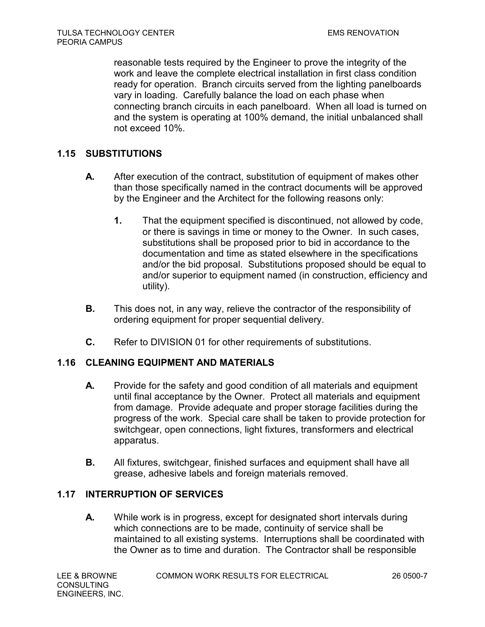reasonable tests required by the Engineer to prove the integrity of the work and leave the complete electrical installation in first class condition ready for operation. Branch circuits served from the lighting panelboards vary in loading. Carefully balance the load on each phase when connecting branch circuits in each panelboard. When all load is turned on and the system is operating at 100% demand, the initial unbalanced shall not exceed 10%.

# **1.15 SUBSTITUTIONS**

- **A.** After execution of the contract, substitution of equipment of makes other than those specifically named in the contract documents will be approved by the Engineer and the Architect for the following reasons only:
	- **1.** That the equipment specified is discontinued, not allowed by code, or there is savings in time or money to the Owner. In such cases, substitutions shall be proposed prior to bid in accordance to the documentation and time as stated elsewhere in the specifications and/or the bid proposal. Substitutions proposed should be equal to and/or superior to equipment named (in construction, efficiency and utility).
- **B.** This does not, in any way, relieve the contractor of the responsibility of ordering equipment for proper sequential delivery.
- **C.** Refer to DIVISION 01 for other requirements of substitutions.

# **1.16 CLEANING EQUIPMENT AND MATERIALS**

- **A.** Provide for the safety and good condition of all materials and equipment until final acceptance by the Owner. Protect all materials and equipment from damage. Provide adequate and proper storage facilities during the progress of the work. Special care shall be taken to provide protection for switchgear, open connections, light fixtures, transformers and electrical apparatus.
- **B.** All fixtures, switchgear, finished surfaces and equipment shall have all grease, adhesive labels and foreign materials removed.

# **1.17 INTERRUPTION OF SERVICES**

**A.** While work is in progress, except for designated short intervals during which connections are to be made, continuity of service shall be maintained to all existing systems. Interruptions shall be coordinated with the Owner as to time and duration. The Contractor shall be responsible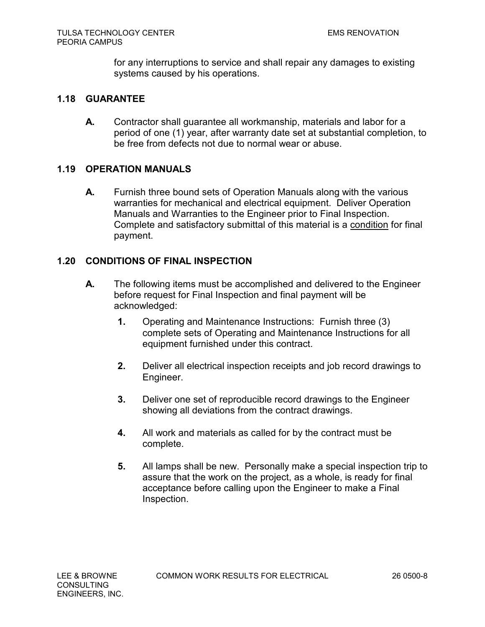for any interruptions to service and shall repair any damages to existing systems caused by his operations.

### **1.18 GUARANTEE**

**A.** Contractor shall guarantee all workmanship, materials and labor for a period of one (1) year, after warranty date set at substantial completion, to be free from defects not due to normal wear or abuse.

## **1.19 OPERATION MANUALS**

**A.** Furnish three bound sets of Operation Manuals along with the various warranties for mechanical and electrical equipment. Deliver Operation Manuals and Warranties to the Engineer prior to Final Inspection. Complete and satisfactory submittal of this material is a condition for final payment.

## **1.20 CONDITIONS OF FINAL INSPECTION**

- **A.** The following items must be accomplished and delivered to the Engineer before request for Final Inspection and final payment will be acknowledged:
	- **1.** Operating and Maintenance Instructions: Furnish three (3) complete sets of Operating and Maintenance Instructions for all equipment furnished under this contract.
	- **2.** Deliver all electrical inspection receipts and job record drawings to Engineer.
	- **3.** Deliver one set of reproducible record drawings to the Engineer showing all deviations from the contract drawings.
	- **4.** All work and materials as called for by the contract must be complete.
	- **5.** All lamps shall be new. Personally make a special inspection trip to assure that the work on the project, as a whole, is ready for final acceptance before calling upon the Engineer to make a Final Inspection.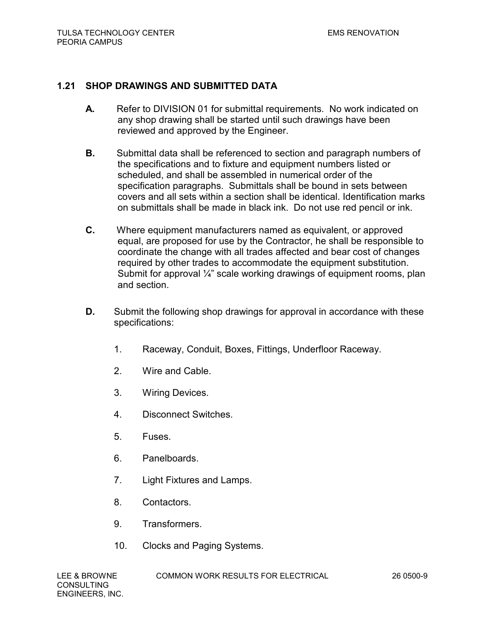## **1.21 SHOP DRAWINGS AND SUBMITTED DATA**

- **A.** Refer to DIVISION 01 for submittal requirements. No work indicated on any shop drawing shall be started until such drawings have been reviewed and approved by the Engineer.
- **B.** Submittal data shall be referenced to section and paragraph numbers of the specifications and to fixture and equipment numbers listed or scheduled, and shall be assembled in numerical order of the specification paragraphs. Submittals shall be bound in sets between covers and all sets within a section shall be identical. Identification marks on submittals shall be made in black ink. Do not use red pencil or ink.
- **C.** Where equipment manufacturers named as equivalent, or approved equal, are proposed for use by the Contractor, he shall be responsible to coordinate the change with all trades affected and bear cost of changes required by other trades to accommodate the equipment substitution. Submit for approval ¼" scale working drawings of equipment rooms, plan and section.
- **D.** Submit the following shop drawings for approval in accordance with these specifications:
	- 1. Raceway, Conduit, Boxes, Fittings, Underfloor Raceway.
	- 2. Wire and Cable.
	- 3. Wiring Devices.
	- 4. Disconnect Switches.
	- 5. Fuses.
	- 6. Panelboards.
	- 7. Light Fixtures and Lamps.
	- 8. Contactors.
	- 9. Transformers.
	- 10. Clocks and Paging Systems.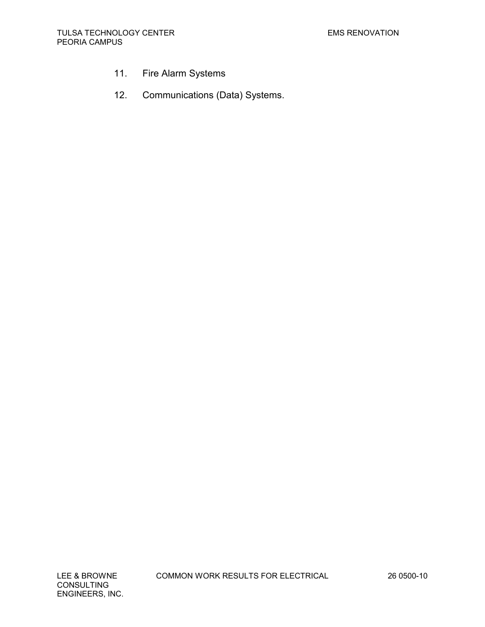- 11. Fire Alarm Systems
- 12. Communications (Data) Systems.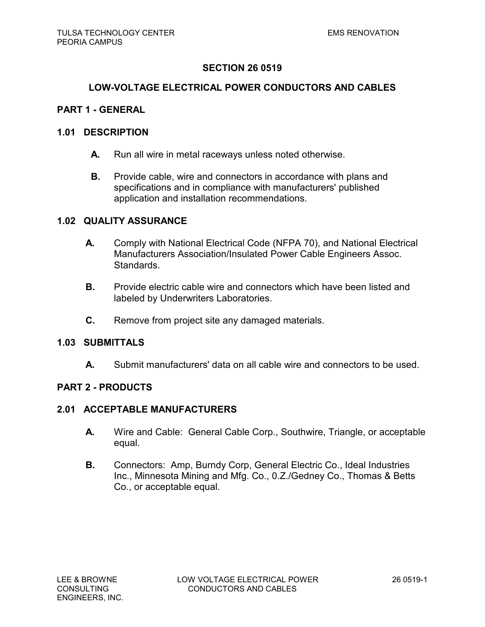### **LOW-VOLTAGE ELECTRICAL POWER CONDUCTORS AND CABLES**

### **PART 1 - GENERAL**

### **1.01 DESCRIPTION**

- **A.** Run all wire in metal raceways unless noted otherwise.
- **B.** Provide cable, wire and connectors in accordance with plans and specifications and in compliance with manufacturers' published application and installation recommendations.

### **1.02 QUALITY ASSURANCE**

- **A.** Comply with National Electrical Code (NFPA 70), and National Electrical Manufacturers Association/Insulated Power Cable Engineers Assoc. Standards.
- **B.** Provide electric cable wire and connectors which have been listed and labeled by Underwriters Laboratories.
- **C.** Remove from project site any damaged materials.

### **1.03 SUBMITTALS**

**A.** Submit manufacturers' data on all cable wire and connectors to be used.

#### **PART 2 - PRODUCTS**

### **2.01 ACCEPTABLE MANUFACTURERS**

- **A.** Wire and Cable: General Cable Corp., Southwire, Triangle, or acceptable equal.
- **B.** Connectors: Amp, Burndy Corp, General Electric Co., Ideal Industries Inc., Minnesota Mining and Mfg. Co., 0.Z./Gedney Co., Thomas & Betts Co., or acceptable equal.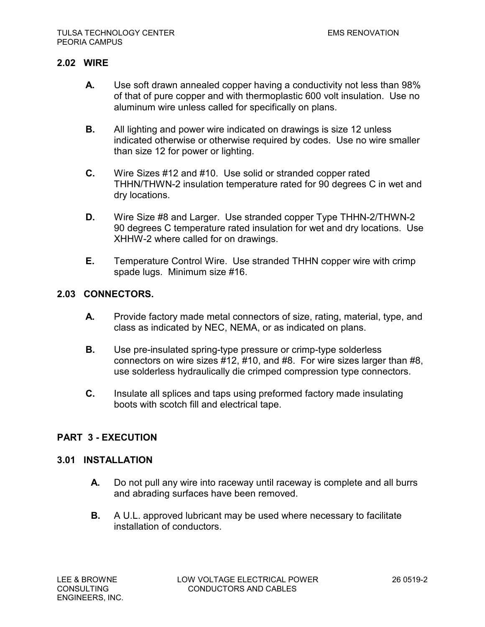## **2.02 WIRE**

- **A.** Use soft drawn annealed copper having a conductivity not less than 98% of that of pure copper and with thermoplastic 600 volt insulation. Use no aluminum wire unless called for specifically on plans.
- **B.** All lighting and power wire indicated on drawings is size 12 unless indicated otherwise or otherwise required by codes. Use no wire smaller than size 12 for power or lighting.
- **C.** Wire Sizes #12 and #10. Use solid or stranded copper rated THHN/THWN-2 insulation temperature rated for 90 degrees C in wet and dry locations.
- **D.** Wire Size #8 and Larger. Use stranded copper Type THHN-2/THWN-2 90 degrees C temperature rated insulation for wet and dry locations. Use XHHW-2 where called for on drawings.
- **E.** Temperature Control Wire. Use stranded THHN copper wire with crimp spade lugs. Minimum size #16.

## **2.03 CONNECTORS.**

- **A.** Provide factory made metal connectors of size, rating, material, type, and class as indicated by NEC, NEMA, or as indicated on plans.
- **B.** Use pre-insulated spring-type pressure or crimp-type solderless connectors on wire sizes #12, #10, and #8. For wire sizes larger than #8, use solderless hydraulically die crimped compression type connectors.
- **C.** Insulate all splices and taps using preformed factory made insulating boots with scotch fill and electrical tape.

# **PART 3 - EXECUTION**

### **3.01 INSTALLATION**

- **A.** Do not pull any wire into raceway until raceway is complete and all burrs and abrading surfaces have been removed.
- **B.** A U.L. approved lubricant may be used where necessary to facilitate installation of conductors.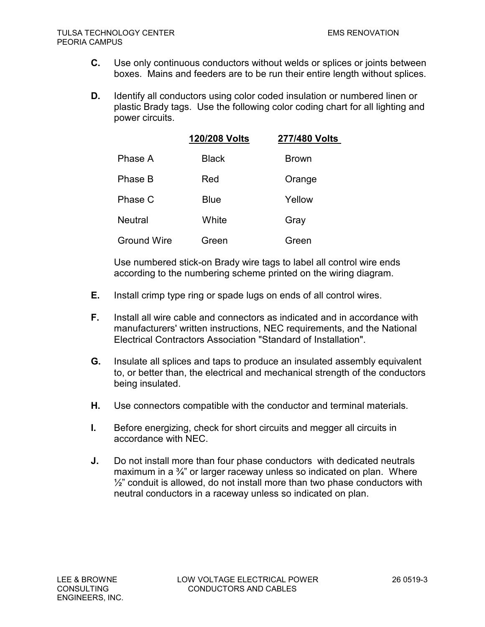- **C.** Use only continuous conductors without welds or splices or joints between boxes. Mains and feeders are to be run their entire length without splices.
- **D.** Identify all conductors using color coded insulation or numbered linen or plastic Brady tags. Use the following color coding chart for all lighting and power circuits.

|                    | 120/208 Volts | 277/480 Volts |
|--------------------|---------------|---------------|
| Phase A            | <b>Black</b>  | <b>Brown</b>  |
| Phase B            | Red           | Orange        |
| Phase C            | <b>Blue</b>   | Yellow        |
| <b>Neutral</b>     | White         | Gray          |
| <b>Ground Wire</b> | Green         | Green         |

Use numbered stick-on Brady wire tags to label all control wire ends according to the numbering scheme printed on the wiring diagram.

- **E.** Install crimp type ring or spade lugs on ends of all control wires.
- **F.** Install all wire cable and connectors as indicated and in accordance with manufacturers' written instructions, NEC requirements, and the National Electrical Contractors Association "Standard of Installation".
- **G.** Insulate all splices and taps to produce an insulated assembly equivalent to, or better than, the electrical and mechanical strength of the conductors being insulated.
- **H.** Use connectors compatible with the conductor and terminal materials.
- **I.** Before energizing, check for short circuits and megger all circuits in accordance with NEC.
- **J.** Do not install more than four phase conductors with dedicated neutrals maximum in a  $\frac{3}{4}$ " or larger raceway unless so indicated on plan. Where  $\frac{1}{2}$ " conduit is allowed, do not install more than two phase conductors with neutral conductors in a raceway unless so indicated on plan.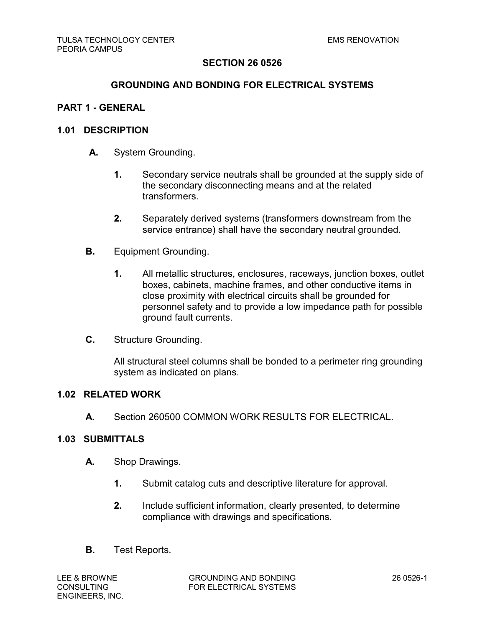### **GROUNDING AND BONDING FOR ELECTRICAL SYSTEMS**

### **PART 1 - GENERAL**

#### **1.01 DESCRIPTION**

- **A.** System Grounding.
	- **1.** Secondary service neutrals shall be grounded at the supply side of the secondary disconnecting means and at the related transformers.
	- **2.** Separately derived systems (transformers downstream from the service entrance) shall have the secondary neutral grounded.
- **B.** Equipment Grounding.
	- **1.** All metallic structures, enclosures, raceways, junction boxes, outlet boxes, cabinets, machine frames, and other conductive items in close proximity with electrical circuits shall be grounded for personnel safety and to provide a low impedance path for possible ground fault currents.
- **C.** Structure Grounding.

All structural steel columns shall be bonded to a perimeter ring grounding system as indicated on plans.

#### **1.02 RELATED WORK**

**A.** Section 260500 COMMON WORK RESULTS FOR ELECTRICAL.

# **1.03 SUBMITTALS**

- **A.** Shop Drawings.
	- **1.** Submit catalog cuts and descriptive literature for approval.
	- **2.** Include sufficient information, clearly presented, to determine compliance with drawings and specifications.
- **B.** Test Reports.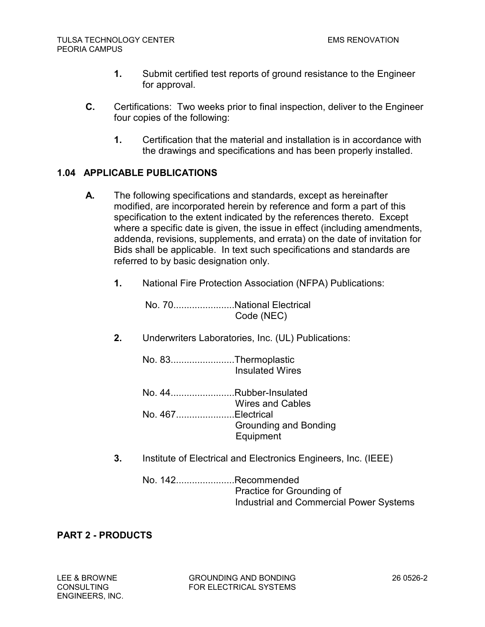- **1.** Submit certified test reports of ground resistance to the Engineer for approval.
- **C.** Certifications: Two weeks prior to final inspection, deliver to the Engineer four copies of the following:
	- **1.** Certification that the material and installation is in accordance with the drawings and specifications and has been properly installed.

# **1.04 APPLICABLE PUBLICATIONS**

- **A.** The following specifications and standards, except as hereinafter modified, are incorporated herein by reference and form a part of this specification to the extent indicated by the references thereto. Except where a specific date is given, the issue in effect (including amendments, addenda, revisions, supplements, and errata) on the date of invitation for Bids shall be applicable. In text such specifications and standards are referred to by basic designation only.
	- **1.** National Fire Protection Association (NFPA) Publications:

No. 70.......................National Electrical Code (NEC)

**2.** Underwriters Laboratories, Inc. (UL) Publications:

No. 83........................Thermoplastic Insulated Wires

- No. 44........................Rubber-Insulated Wires and Cables No. 467......................Electrical Grounding and Bonding Equipment
- **3.** Institute of Electrical and Electronics Engineers, Inc. (IEEE)
	- No. 142......................Recommended Practice for Grounding of Industrial and Commercial Power Systems

# **PART 2 - PRODUCTS**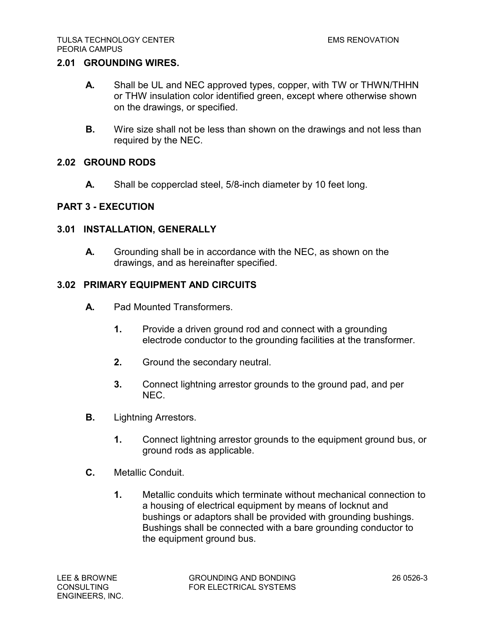## **2.01 GROUNDING WIRES.**

- **A.** Shall be UL and NEC approved types, copper, with TW or THWN/THHN or THW insulation color identified green, except where otherwise shown on the drawings, or specified.
- **B.** Wire size shall not be less than shown on the drawings and not less than required by the NEC.

## **2.02 GROUND RODS**

**A.** Shall be copperclad steel, 5/8-inch diameter by 10 feet long.

# **PART 3 - EXECUTION**

## **3.01 INSTALLATION, GENERALLY**

**A.** Grounding shall be in accordance with the NEC, as shown on the drawings, and as hereinafter specified.

## **3.02 PRIMARY EQUIPMENT AND CIRCUITS**

- **A.** Pad Mounted Transformers.
	- **1.** Provide a driven ground rod and connect with a grounding electrode conductor to the grounding facilities at the transformer.
	- **2.** Ground the secondary neutral.
	- **3.** Connect lightning arrestor grounds to the ground pad, and per NEC.
- **B.** Lightning Arrestors.
	- **1.** Connect lightning arrestor grounds to the equipment ground bus, or ground rods as applicable.
- **C.** Metallic Conduit.
	- **1.** Metallic conduits which terminate without mechanical connection to a housing of electrical equipment by means of locknut and bushings or adaptors shall be provided with grounding bushings. Bushings shall be connected with a bare grounding conductor to the equipment ground bus.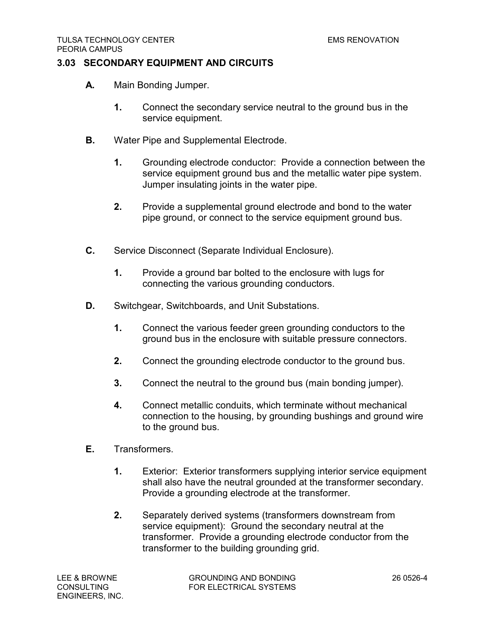# **3.03 SECONDARY EQUIPMENT AND CIRCUITS**

- **A.** Main Bonding Jumper.
	- **1.** Connect the secondary service neutral to the ground bus in the service equipment.
- **B.** Water Pipe and Supplemental Electrode.
	- **1.** Grounding electrode conductor: Provide a connection between the service equipment ground bus and the metallic water pipe system. Jumper insulating joints in the water pipe.
	- **2.** Provide a supplemental ground electrode and bond to the water pipe ground, or connect to the service equipment ground bus.
- **C.** Service Disconnect (Separate Individual Enclosure).
	- **1.** Provide a ground bar bolted to the enclosure with lugs for connecting the various grounding conductors.
- **D.** Switchgear, Switchboards, and Unit Substations.
	- **1.** Connect the various feeder green grounding conductors to the ground bus in the enclosure with suitable pressure connectors.
	- **2.** Connect the grounding electrode conductor to the ground bus.
	- **3.** Connect the neutral to the ground bus (main bonding jumper).
	- **4.** Connect metallic conduits, which terminate without mechanical connection to the housing, by grounding bushings and ground wire to the ground bus.
- **E.** Transformers.
	- **1.** Exterior: Exterior transformers supplying interior service equipment shall also have the neutral grounded at the transformer secondary. Provide a grounding electrode at the transformer.
	- **2.** Separately derived systems (transformers downstream from service equipment): Ground the secondary neutral at the transformer. Provide a grounding electrode conductor from the transformer to the building grounding grid.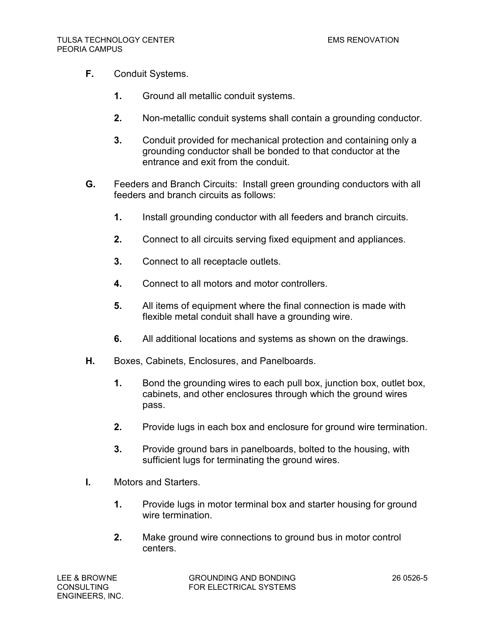- **F.** Conduit Systems.
	- **1.** Ground all metallic conduit systems.
	- **2.** Non-metallic conduit systems shall contain a grounding conductor.
	- **3.** Conduit provided for mechanical protection and containing only a grounding conductor shall be bonded to that conductor at the entrance and exit from the conduit.
- **G.** Feeders and Branch Circuits: Install green grounding conductors with all feeders and branch circuits as follows:
	- **1.** Install grounding conductor with all feeders and branch circuits.
	- **2.** Connect to all circuits serving fixed equipment and appliances.
	- **3.** Connect to all receptacle outlets.
	- **4.** Connect to all motors and motor controllers.
	- **5.** All items of equipment where the final connection is made with flexible metal conduit shall have a grounding wire.
	- **6.** All additional locations and systems as shown on the drawings.
- **H.** Boxes, Cabinets, Enclosures, and Panelboards.
	- **1.** Bond the grounding wires to each pull box, junction box, outlet box, cabinets, and other enclosures through which the ground wires pass.
	- **2.** Provide lugs in each box and enclosure for ground wire termination.
	- **3.** Provide ground bars in panelboards, bolted to the housing, with sufficient lugs for terminating the ground wires.
- **I.** Motors and Starters.
	- **1.** Provide lugs in motor terminal box and starter housing for ground wire termination
	- **2.** Make ground wire connections to ground bus in motor control centers.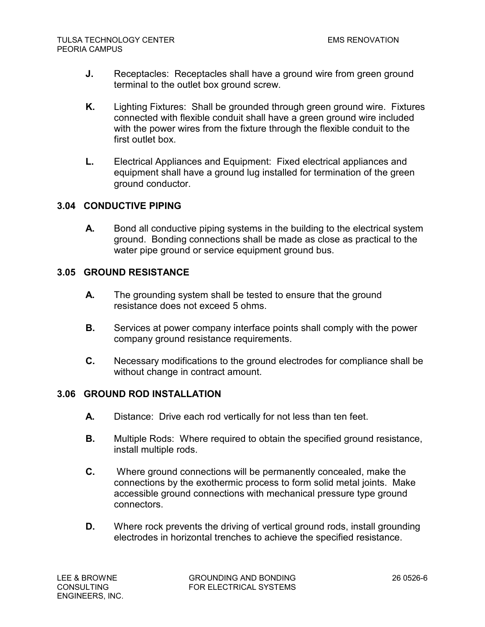- **J.** Receptacles: Receptacles shall have a ground wire from green ground terminal to the outlet box ground screw.
- **K.** Lighting Fixtures: Shall be grounded through green ground wire. Fixtures connected with flexible conduit shall have a green ground wire included with the power wires from the fixture through the flexible conduit to the first outlet box.
- **L.** Electrical Appliances and Equipment: Fixed electrical appliances and equipment shall have a ground lug installed for termination of the green ground conductor.

# **3.04 CONDUCTIVE PIPING**

**A.** Bond all conductive piping systems in the building to the electrical system ground. Bonding connections shall be made as close as practical to the water pipe ground or service equipment ground bus.

# **3.05 GROUND RESISTANCE**

- **A.** The grounding system shall be tested to ensure that the ground resistance does not exceed 5 ohms.
- **B.** Services at power company interface points shall comply with the power company ground resistance requirements.
- **C.** Necessary modifications to the ground electrodes for compliance shall be without change in contract amount.

### **3.06 GROUND ROD INSTALLATION**

- **A.** Distance: Drive each rod vertically for not less than ten feet.
- **B.** Multiple Rods: Where required to obtain the specified ground resistance, install multiple rods.
- **C.** Where ground connections will be permanently concealed, make the connections by the exothermic process to form solid metal joints. Make accessible ground connections with mechanical pressure type ground connectors.
- **D.** Where rock prevents the driving of vertical ground rods, install grounding electrodes in horizontal trenches to achieve the specified resistance.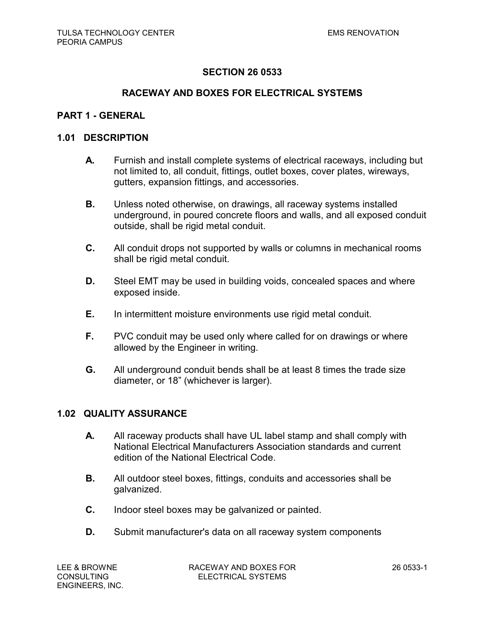### **RACEWAY AND BOXES FOR ELECTRICAL SYSTEMS**

### **PART 1 - GENERAL**

#### **1.01 DESCRIPTION**

- **A.** Furnish and install complete systems of electrical raceways, including but not limited to, all conduit, fittings, outlet boxes, cover plates, wireways, gutters, expansion fittings, and accessories.
- **B.** Unless noted otherwise, on drawings, all raceway systems installed underground, in poured concrete floors and walls, and all exposed conduit outside, shall be rigid metal conduit.
- **C.** All conduit drops not supported by walls or columns in mechanical rooms shall be rigid metal conduit.
- **D.** Steel EMT may be used in building voids, concealed spaces and where exposed inside.
- **E.** In intermittent moisture environments use rigid metal conduit.
- **F.** PVC conduit may be used only where called for on drawings or where allowed by the Engineer in writing.
- **G.** All underground conduit bends shall be at least 8 times the trade size diameter, or 18" (whichever is larger).

### **1.02 QUALITY ASSURANCE**

- **A.** All raceway products shall have UL label stamp and shall comply with National Electrical Manufacturers Association standards and current edition of the National Electrical Code.
- **B.** All outdoor steel boxes, fittings, conduits and accessories shall be galvanized.
- **C.** Indoor steel boxes may be galvanized or painted.
- **D.** Submit manufacturer's data on all raceway system components

LEE & BROWNE RACEWAY AND BOXES FOR 26 0533-1 CONSULTING ELECTRICAL SYSTEMS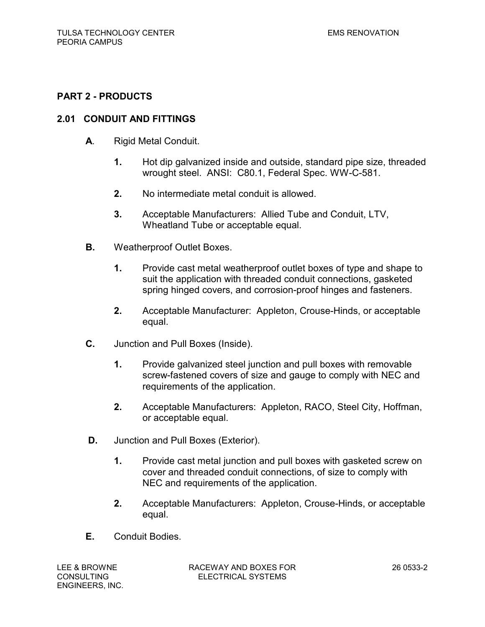# **PART 2 - PRODUCTS**

## **2.01 CONDUIT AND FITTINGS**

- **A**. Rigid Metal Conduit.
	- **1.** Hot dip galvanized inside and outside, standard pipe size, threaded wrought steel. ANSI: C80.1, Federal Spec. WW-C-581.
	- **2.** No intermediate metal conduit is allowed.
	- **3.** Acceptable Manufacturers: Allied Tube and Conduit, LTV, Wheatland Tube or acceptable equal.
- **B.** Weatherproof Outlet Boxes.
	- **1.** Provide cast metal weatherproof outlet boxes of type and shape to suit the application with threaded conduit connections, gasketed spring hinged covers, and corrosion-proof hinges and fasteners.
	- **2.** Acceptable Manufacturer: Appleton, Crouse-Hinds, or acceptable equal.
- **C.** Junction and Pull Boxes (Inside).
	- **1.** Provide galvanized steel junction and pull boxes with removable screw-fastened covers of size and gauge to comply with NEC and requirements of the application.
	- **2.** Acceptable Manufacturers: Appleton, RACO, Steel City, Hoffman, or acceptable equal.
- **D.** Junction and Pull Boxes (Exterior).
	- **1.** Provide cast metal junction and pull boxes with gasketed screw on cover and threaded conduit connections, of size to comply with NEC and requirements of the application.
	- **2.** Acceptable Manufacturers: Appleton, Crouse-Hinds, or acceptable equal.
- **E.** Conduit Bodies.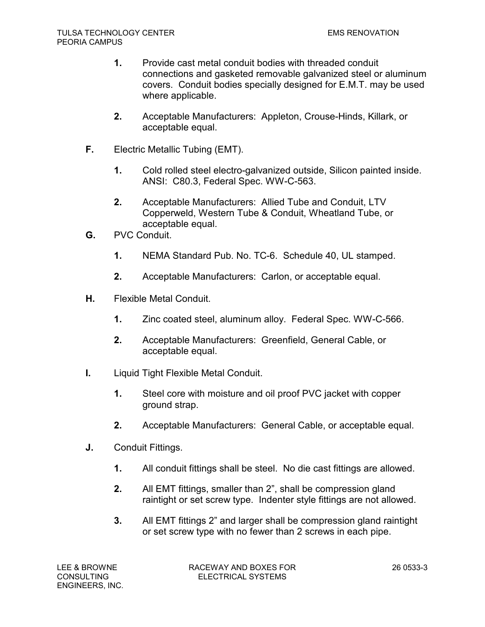- **1.** Provide cast metal conduit bodies with threaded conduit connections and gasketed removable galvanized steel or aluminum covers. Conduit bodies specially designed for E.M.T. may be used where applicable.
- **2.** Acceptable Manufacturers: Appleton, Crouse-Hinds, Killark, or acceptable equal.
- **F.** Electric Metallic Tubing (EMT).
	- **1.** Cold rolled steel electro-galvanized outside, Silicon painted inside. ANSI: C80.3, Federal Spec. WW-C-563.
	- **2.** Acceptable Manufacturers: Allied Tube and Conduit, LTV Copperweld, Western Tube & Conduit, Wheatland Tube, or acceptable equal.
- **G.** PVC Conduit.
	- **1.** NEMA Standard Pub. No. TC-6. Schedule 40, UL stamped.
	- **2.** Acceptable Manufacturers: Carlon, or acceptable equal.
- **H.** Flexible Metal Conduit.
	- **1.** Zinc coated steel, aluminum alloy. Federal Spec. WW-C-566.
	- **2.** Acceptable Manufacturers: Greenfield, General Cable, or acceptable equal.
- **I.** Liquid Tight Flexible Metal Conduit.
	- **1.** Steel core with moisture and oil proof PVC jacket with copper ground strap.
	- **2.** Acceptable Manufacturers: General Cable, or acceptable equal.
- **J.** Conduit Fittings.
	- **1.** All conduit fittings shall be steel. No die cast fittings are allowed.
	- **2.** All EMT fittings, smaller than 2", shall be compression gland raintight or set screw type. Indenter style fittings are not allowed.
	- **3.** All EMT fittings 2" and larger shall be compression gland raintight or set screw type with no fewer than 2 screws in each pipe.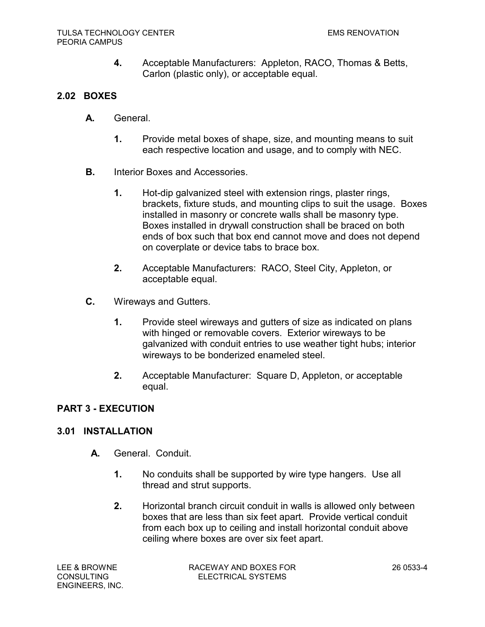**4.** Acceptable Manufacturers: Appleton, RACO, Thomas & Betts, Carlon (plastic only), or acceptable equal.

# **2.02 BOXES**

- **A.** General.
	- **1.** Provide metal boxes of shape, size, and mounting means to suit each respective location and usage, and to comply with NEC.
- **B.** Interior Boxes and Accessories.
	- **1.** Hot-dip galvanized steel with extension rings, plaster rings, brackets, fixture studs, and mounting clips to suit the usage. Boxes installed in masonry or concrete walls shall be masonry type. Boxes installed in drywall construction shall be braced on both ends of box such that box end cannot move and does not depend on coverplate or device tabs to brace box.
	- **2.** Acceptable Manufacturers: RACO, Steel City, Appleton, or acceptable equal.
- **C.** Wireways and Gutters.
	- **1.** Provide steel wireways and gutters of size as indicated on plans with hinged or removable covers. Exterior wireways to be galvanized with conduit entries to use weather tight hubs; interior wireways to be bonderized enameled steel.
	- **2.** Acceptable Manufacturer: Square D, Appleton, or acceptable equal.

# **PART 3 - EXECUTION**

# **3.01 INSTALLATION**

- **A.** General. Conduit.
	- **1.** No conduits shall be supported by wire type hangers. Use all thread and strut supports.
	- **2.** Horizontal branch circuit conduit in walls is allowed only between boxes that are less than six feet apart. Provide vertical conduit from each box up to ceiling and install horizontal conduit above ceiling where boxes are over six feet apart.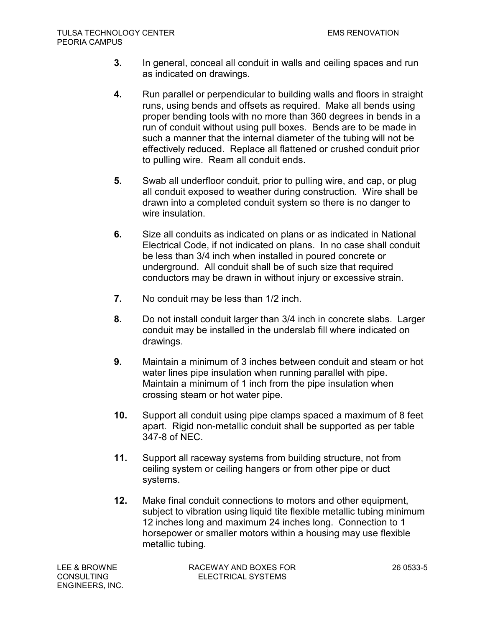- **3.** In general, conceal all conduit in walls and ceiling spaces and run as indicated on drawings.
- **4.** Run parallel or perpendicular to building walls and floors in straight runs, using bends and offsets as required. Make all bends using proper bending tools with no more than 360 degrees in bends in a run of conduit without using pull boxes. Bends are to be made in such a manner that the internal diameter of the tubing will not be effectively reduced. Replace all flattened or crushed conduit prior to pulling wire. Ream all conduit ends.
- **5.** Swab all underfloor conduit, prior to pulling wire, and cap, or plug all conduit exposed to weather during construction. Wire shall be drawn into a completed conduit system so there is no danger to wire insulation.
- **6.** Size all conduits as indicated on plans or as indicated in National Electrical Code, if not indicated on plans. In no case shall conduit be less than 3/4 inch when installed in poured concrete or underground. All conduit shall be of such size that required conductors may be drawn in without injury or excessive strain.
- **7.** No conduit may be less than 1/2 inch.
- **8.** Do not install conduit larger than 3/4 inch in concrete slabs. Larger conduit may be installed in the underslab fill where indicated on drawings.
- **9.** Maintain a minimum of 3 inches between conduit and steam or hot water lines pipe insulation when running parallel with pipe. Maintain a minimum of 1 inch from the pipe insulation when crossing steam or hot water pipe.
- **10.** Support all conduit using pipe clamps spaced a maximum of 8 feet apart. Rigid non-metallic conduit shall be supported as per table 347-8 of NEC.
- **11.** Support all raceway systems from building structure, not from ceiling system or ceiling hangers or from other pipe or duct systems.
- **12.** Make final conduit connections to motors and other equipment, subject to vibration using liquid tite flexible metallic tubing minimum 12 inches long and maximum 24 inches long. Connection to 1 horsepower or smaller motors within a housing may use flexible metallic tubing.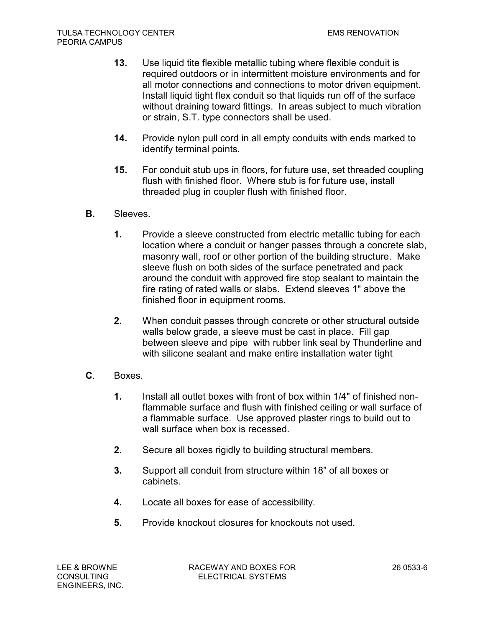- **13.** Use liquid tite flexible metallic tubing where flexible conduit is required outdoors or in intermittent moisture environments and for all motor connections and connections to motor driven equipment. Install liquid tight flex conduit so that liquids run off of the surface without draining toward fittings. In areas subject to much vibration or strain, S.T. type connectors shall be used.
- **14.** Provide nylon pull cord in all empty conduits with ends marked to identify terminal points.
- **15.** For conduit stub ups in floors, for future use, set threaded coupling flush with finished floor. Where stub is for future use, install threaded plug in coupler flush with finished floor.
- **B.** Sleeves.
	- **1.** Provide a sleeve constructed from electric metallic tubing for each location where a conduit or hanger passes through a concrete slab, masonry wall, roof or other portion of the building structure. Make sleeve flush on both sides of the surface penetrated and pack around the conduit with approved fire stop sealant to maintain the fire rating of rated walls or slabs. Extend sleeves 1" above the finished floor in equipment rooms.
	- **2.** When conduit passes through concrete or other structural outside walls below grade, a sleeve must be cast in place. Fill gap between sleeve and pipe with rubber link seal by Thunderline and with silicone sealant and make entire installation water tight
- **C**. Boxes.
	- **1.** Install all outlet boxes with front of box within 1/4" of finished nonflammable surface and flush with finished ceiling or wall surface of a flammable surface. Use approved plaster rings to build out to wall surface when box is recessed.
	- **2.** Secure all boxes rigidly to building structural members.
	- **3.** Support all conduit from structure within 18" of all boxes or cabinets.
	- **4.** Locate all boxes for ease of accessibility.
	- **5.** Provide knockout closures for knockouts not used.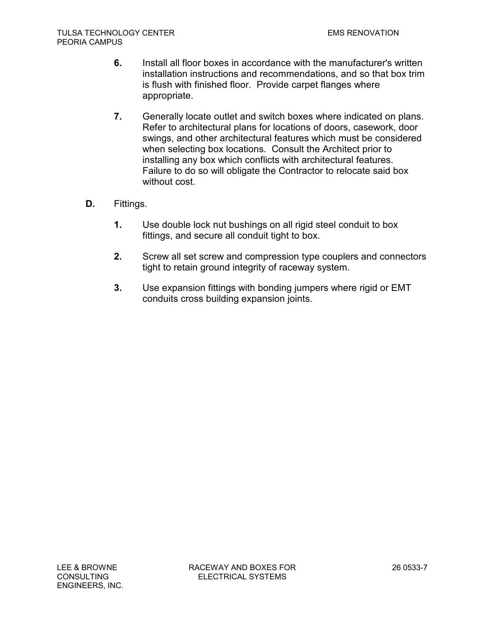- **6.** Install all floor boxes in accordance with the manufacturer's written installation instructions and recommendations, and so that box trim is flush with finished floor. Provide carpet flanges where appropriate.
- **7.** Generally locate outlet and switch boxes where indicated on plans. Refer to architectural plans for locations of doors, casework, door swings, and other architectural features which must be considered when selecting box locations. Consult the Architect prior to installing any box which conflicts with architectural features. Failure to do so will obligate the Contractor to relocate said box without cost.
- **D.** Fittings.
	- **1.** Use double lock nut bushings on all rigid steel conduit to box fittings, and secure all conduit tight to box.
	- **2.** Screw all set screw and compression type couplers and connectors tight to retain ground integrity of raceway system.
	- **3.** Use expansion fittings with bonding jumpers where rigid or EMT conduits cross building expansion joints.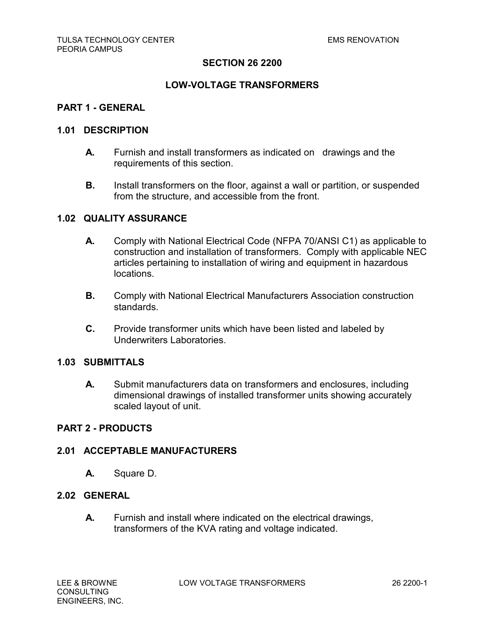## **LOW-VOLTAGE TRANSFORMERS**

### **PART 1 - GENERAL**

### **1.01 DESCRIPTION**

- **A.** Furnish and install transformers as indicated on drawings and the requirements of this section.
- **B.** Install transformers on the floor, against a wall or partition, or suspended from the structure, and accessible from the front.

### **1.02 QUALITY ASSURANCE**

- **A.** Comply with National Electrical Code (NFPA 70/ANSI C1) as applicable to construction and installation of transformers. Comply with applicable NEC articles pertaining to installation of wiring and equipment in hazardous locations.
- **B.** Comply with National Electrical Manufacturers Association construction standards.
- **C.** Provide transformer units which have been listed and labeled by Underwriters Laboratories.

### **1.03 SUBMITTALS**

**A.** Submit manufacturers data on transformers and enclosures, including dimensional drawings of installed transformer units showing accurately scaled layout of unit.

### **PART 2 - PRODUCTS**

### **2.01 ACCEPTABLE MANUFACTURERS**

**A.** Square D.

# **2.02 GENERAL**

**A.** Furnish and install where indicated on the electrical drawings, transformers of the KVA rating and voltage indicated.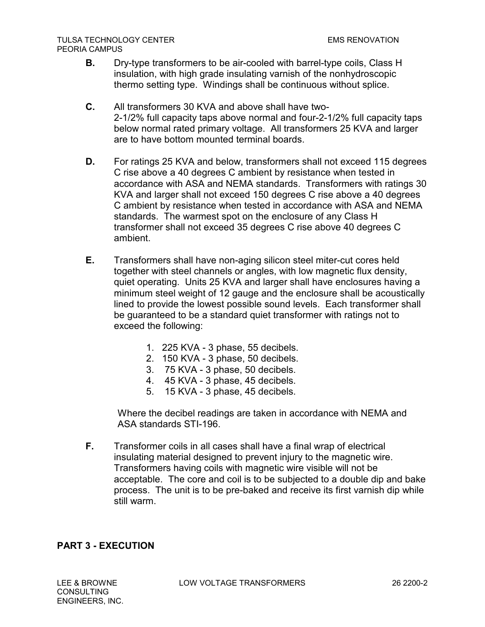- **B.** Dry-type transformers to be air-cooled with barrel-type coils, Class H insulation, with high grade insulating varnish of the nonhydroscopic thermo setting type. Windings shall be continuous without splice.
- **C.** All transformers 30 KVA and above shall have two-2-1/2% full capacity taps above normal and four-2-1/2% full capacity taps below normal rated primary voltage. All transformers 25 KVA and larger are to have bottom mounted terminal boards.
- **D.** For ratings 25 KVA and below, transformers shall not exceed 115 degrees C rise above a 40 degrees C ambient by resistance when tested in accordance with ASA and NEMA standards. Transformers with ratings 30 KVA and larger shall not exceed 150 degrees C rise above a 40 degrees C ambient by resistance when tested in accordance with ASA and NEMA standards. The warmest spot on the enclosure of any Class H transformer shall not exceed 35 degrees C rise above 40 degrees C ambient.
- **E.** Transformers shall have non-aging silicon steel miter-cut cores held together with steel channels or angles, with low magnetic flux density, quiet operating. Units 25 KVA and larger shall have enclosures having a minimum steel weight of 12 gauge and the enclosure shall be acoustically lined to provide the lowest possible sound levels. Each transformer shall be guaranteed to be a standard quiet transformer with ratings not to exceed the following:
	- 1. 225 KVA 3 phase, 55 decibels.
	- 2. 150 KVA 3 phase, 50 decibels.
	- 3. 75 KVA 3 phase, 50 decibels.
	- 4. 45 KVA 3 phase, 45 decibels.
	- 5. 15 KVA 3 phase, 45 decibels.

Where the decibel readings are taken in accordance with NEMA and ASA standards STI-196.

**F.** Transformer coils in all cases shall have a final wrap of electrical insulating material designed to prevent injury to the magnetic wire. Transformers having coils with magnetic wire visible will not be acceptable. The core and coil is to be subjected to a double dip and bake process. The unit is to be pre-baked and receive its first varnish dip while still warm.

# **PART 3 - EXECUTION**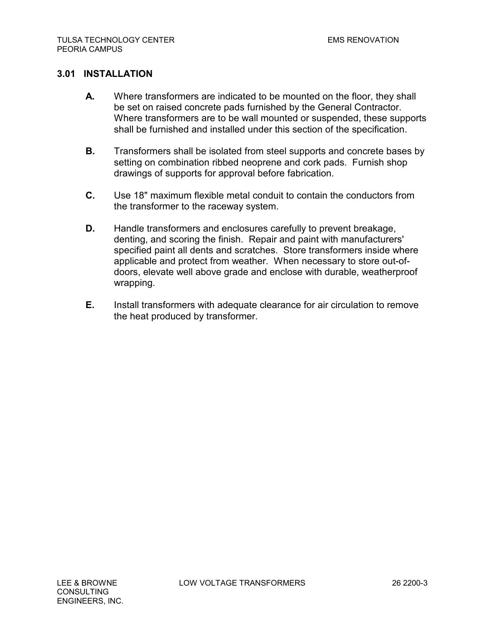# **3.01 INSTALLATION**

- **A.** Where transformers are indicated to be mounted on the floor, they shall be set on raised concrete pads furnished by the General Contractor. Where transformers are to be wall mounted or suspended, these supports shall be furnished and installed under this section of the specification.
- **B.** Transformers shall be isolated from steel supports and concrete bases by setting on combination ribbed neoprene and cork pads. Furnish shop drawings of supports for approval before fabrication.
- **C.** Use 18" maximum flexible metal conduit to contain the conductors from the transformer to the raceway system.
- **D.** Handle transformers and enclosures carefully to prevent breakage, denting, and scoring the finish. Repair and paint with manufacturers' specified paint all dents and scratches. Store transformers inside where applicable and protect from weather. When necessary to store out-ofdoors, elevate well above grade and enclose with durable, weatherproof wrapping.
- **E.** Install transformers with adequate clearance for air circulation to remove the heat produced by transformer.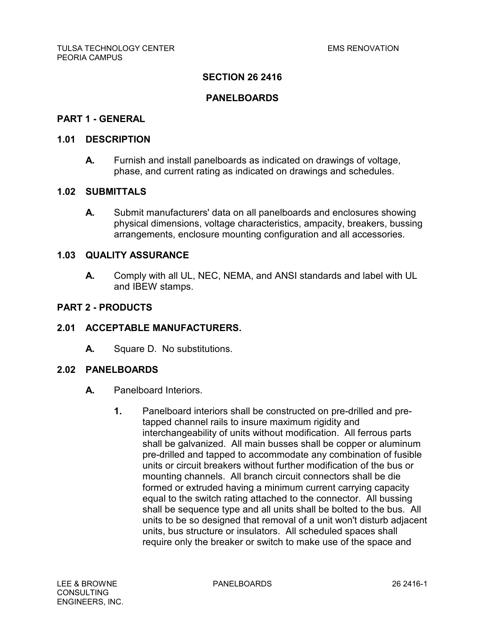## **PANELBOARDS**

## **PART 1 - GENERAL**

### **1.01 DESCRIPTION**

**A.** Furnish and install panelboards as indicated on drawings of voltage, phase, and current rating as indicated on drawings and schedules.

# **1.02 SUBMITTALS**

**A.** Submit manufacturers' data on all panelboards and enclosures showing physical dimensions, voltage characteristics, ampacity, breakers, bussing arrangements, enclosure mounting configuration and all accessories.

## **1.03 QUALITY ASSURANCE**

**A.** Comply with all UL, NEC, NEMA, and ANSI standards and label with UL and IBEW stamps.

### **PART 2 - PRODUCTS**

## **2.01 ACCEPTABLE MANUFACTURERS.**

**A.** Square D. No substitutions.

### **2.02 PANELBOARDS**

- **A.** Panelboard Interiors.
	- **1.** Panelboard interiors shall be constructed on pre-drilled and pretapped channel rails to insure maximum rigidity and interchangeability of units without modification. All ferrous parts shall be galvanized. All main busses shall be copper or aluminum pre-drilled and tapped to accommodate any combination of fusible units or circuit breakers without further modification of the bus or mounting channels. All branch circuit connectors shall be die formed or extruded having a minimum current carrying capacity equal to the switch rating attached to the connector. All bussing shall be sequence type and all units shall be bolted to the bus. All units to be so designed that removal of a unit won't disturb adjacent units, bus structure or insulators. All scheduled spaces shall require only the breaker or switch to make use of the space and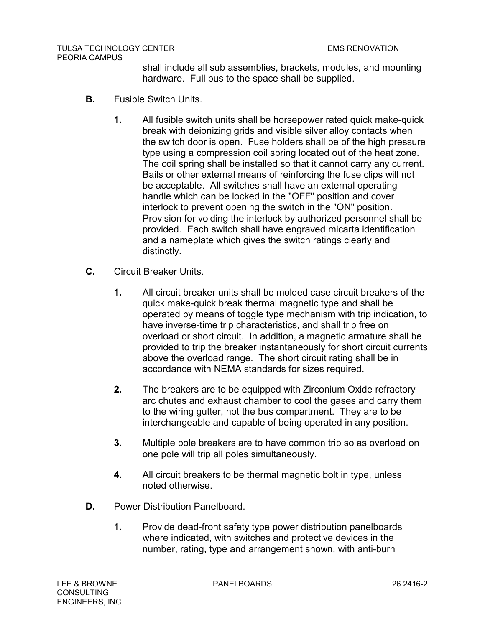shall include all sub assemblies, brackets, modules, and mounting hardware. Full bus to the space shall be supplied.

- **B.** Fusible Switch Units.
	- **1.** All fusible switch units shall be horsepower rated quick make-quick break with deionizing grids and visible silver alloy contacts when the switch door is open. Fuse holders shall be of the high pressure type using a compression coil spring located out of the heat zone. The coil spring shall be installed so that it cannot carry any current. Bails or other external means of reinforcing the fuse clips will not be acceptable. All switches shall have an external operating handle which can be locked in the "OFF" position and cover interlock to prevent opening the switch in the "ON" position. Provision for voiding the interlock by authorized personnel shall be provided. Each switch shall have engraved micarta identification and a nameplate which gives the switch ratings clearly and distinctly.
- **C.** Circuit Breaker Units.
	- **1.** All circuit breaker units shall be molded case circuit breakers of the quick make-quick break thermal magnetic type and shall be operated by means of toggle type mechanism with trip indication, to have inverse-time trip characteristics, and shall trip free on overload or short circuit. In addition, a magnetic armature shall be provided to trip the breaker instantaneously for short circuit currents above the overload range. The short circuit rating shall be in accordance with NEMA standards for sizes required.
	- **2.** The breakers are to be equipped with Zirconium Oxide refractory arc chutes and exhaust chamber to cool the gases and carry them to the wiring gutter, not the bus compartment. They are to be interchangeable and capable of being operated in any position.
	- **3.** Multiple pole breakers are to have common trip so as overload on one pole will trip all poles simultaneously.
	- **4.** All circuit breakers to be thermal magnetic bolt in type, unless noted otherwise.
- **D.** Power Distribution Panelboard.
	- **1.** Provide dead-front safety type power distribution panelboards where indicated, with switches and protective devices in the number, rating, type and arrangement shown, with anti-burn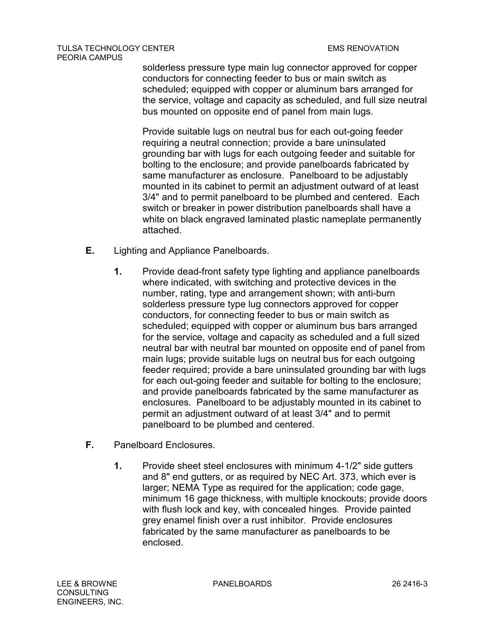#### TULSA TECHNOLOGY CENTER EMS RENOVATION PEORIA CAMPUS

solderless pressure type main lug connector approved for copper conductors for connecting feeder to bus or main switch as scheduled; equipped with copper or aluminum bars arranged for the service, voltage and capacity as scheduled, and full size neutral bus mounted on opposite end of panel from main lugs.

Provide suitable lugs on neutral bus for each out-going feeder requiring a neutral connection; provide a bare uninsulated grounding bar with lugs for each outgoing feeder and suitable for bolting to the enclosure; and provide panelboards fabricated by same manufacturer as enclosure. Panelboard to be adjustably mounted in its cabinet to permit an adjustment outward of at least 3/4" and to permit panelboard to be plumbed and centered. Each switch or breaker in power distribution panelboards shall have a white on black engraved laminated plastic nameplate permanently attached.

- **E.** Lighting and Appliance Panelboards.
	- **1.** Provide dead-front safety type lighting and appliance panelboards where indicated, with switching and protective devices in the number, rating, type and arrangement shown; with anti-burn solderless pressure type lug connectors approved for copper conductors, for connecting feeder to bus or main switch as scheduled; equipped with copper or aluminum bus bars arranged for the service, voltage and capacity as scheduled and a full sized neutral bar with neutral bar mounted on opposite end of panel from main lugs; provide suitable lugs on neutral bus for each outgoing feeder required; provide a bare uninsulated grounding bar with lugs for each out-going feeder and suitable for bolting to the enclosure; and provide panelboards fabricated by the same manufacturer as enclosures. Panelboard to be adjustably mounted in its cabinet to permit an adjustment outward of at least 3/4" and to permit panelboard to be plumbed and centered.
- **F.** Panelboard Enclosures.
	- **1.** Provide sheet steel enclosures with minimum 4-1/2" side gutters and 8" end gutters, or as required by NEC Art. 373, which ever is larger; NEMA Type as required for the application; code gage, minimum 16 gage thickness, with multiple knockouts; provide doors with flush lock and key, with concealed hinges. Provide painted grey enamel finish over a rust inhibitor. Provide enclosures fabricated by the same manufacturer as panelboards to be enclosed.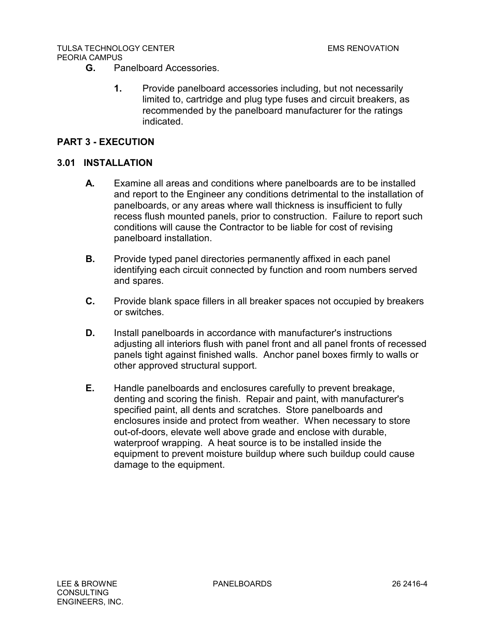#### TULSA TECHNOLOGY CENTER EMS RENOVATION PEORIA CAMPUS

- **G.** Panelboard Accessories.
	- **1.** Provide panelboard accessories including, but not necessarily limited to, cartridge and plug type fuses and circuit breakers, as recommended by the panelboard manufacturer for the ratings indicated.

# **PART 3 - EXECUTION**

# **3.01 INSTALLATION**

- **A.** Examine all areas and conditions where panelboards are to be installed and report to the Engineer any conditions detrimental to the installation of panelboards, or any areas where wall thickness is insufficient to fully recess flush mounted panels, prior to construction. Failure to report such conditions will cause the Contractor to be liable for cost of revising panelboard installation.
- **B.** Provide typed panel directories permanently affixed in each panel identifying each circuit connected by function and room numbers served and spares.
- **C.** Provide blank space fillers in all breaker spaces not occupied by breakers or switches.
- **D.** Install panelboards in accordance with manufacturer's instructions adjusting all interiors flush with panel front and all panel fronts of recessed panels tight against finished walls. Anchor panel boxes firmly to walls or other approved structural support.
- **E.** Handle panelboards and enclosures carefully to prevent breakage, denting and scoring the finish. Repair and paint, with manufacturer's specified paint, all dents and scratches. Store panelboards and enclosures inside and protect from weather. When necessary to store out-of-doors, elevate well above grade and enclose with durable, waterproof wrapping. A heat source is to be installed inside the equipment to prevent moisture buildup where such buildup could cause damage to the equipment.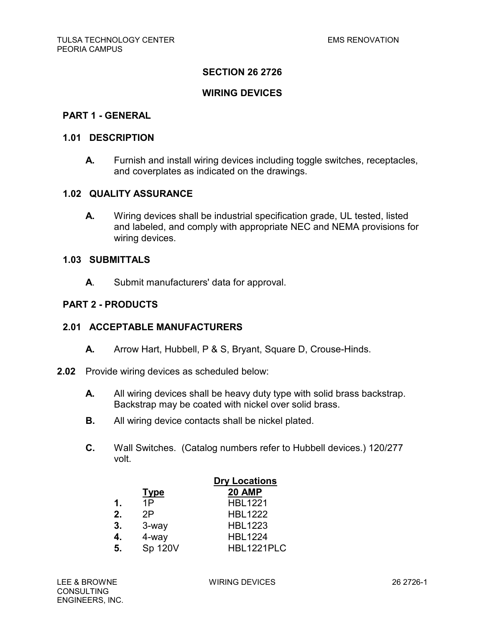### **WIRING DEVICES**

#### **PART 1 - GENERAL**

#### **1.01 DESCRIPTION**

**A.** Furnish and install wiring devices including toggle switches, receptacles, and coverplates as indicated on the drawings.

### **1.02 QUALITY ASSURANCE**

**A.** Wiring devices shall be industrial specification grade, UL tested, listed and labeled, and comply with appropriate NEC and NEMA provisions for wiring devices.

#### **1.03 SUBMITTALS**

**A**. Submit manufacturers' data for approval.

### **PART 2 - PRODUCTS**

### **2.01 ACCEPTABLE MANUFACTURERS**

- **A.** Arrow Hart, Hubbell, P & S, Bryant, Square D, Crouse-Hinds.
- **2.02** Provide wiring devices as scheduled below:
	- **A.** All wiring devices shall be heavy duty type with solid brass backstrap. Backstrap may be coated with nickel over solid brass.
	- **B.** All wiring device contacts shall be nickel plated.
	- **C.** Wall Switches. (Catalog numbers refer to Hubbell devices.) 120/277 volt.

|    |             | <b>Dry Locations</b> |
|----|-------------|----------------------|
|    | <u>Type</u> | <b>20 AMP</b>        |
| 1. | 1P          | <b>HBL1221</b>       |
| 2. | 2P          | <b>HBL1222</b>       |
| 3. | 3-way       | <b>HBL1223</b>       |
| 4. | 4-way       | <b>HBL1224</b>       |
| 5. | Sp 120V     | HBL1221PLC           |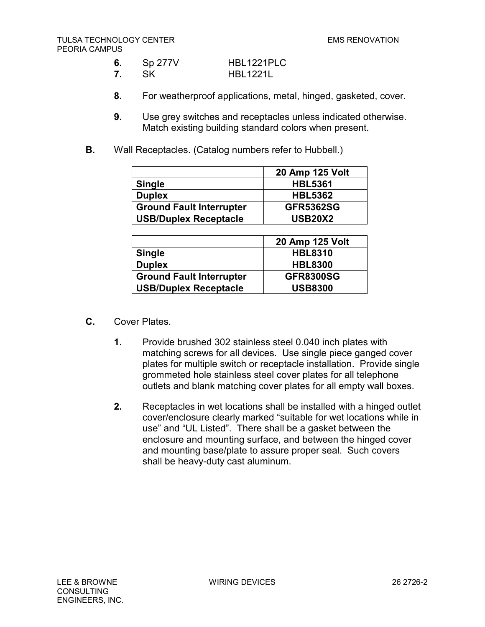| 6. | Sp 277V | HBL1221PLC      |
|----|---------|-----------------|
| 7. | .SK     | <b>HBL1221L</b> |

- **8.** For weatherproof applications, metal, hinged, gasketed, cover.
- **9.** Use grey switches and receptacles unless indicated otherwise. Match existing building standard colors when present.
- **B.** Wall Receptacles. (Catalog numbers refer to Hubbell.)

|                                 | 20 Amp 125 Volt  |
|---------------------------------|------------------|
| <b>Single</b>                   | <b>HBL5361</b>   |
| <b>Duplex</b>                   | <b>HBL5362</b>   |
| <b>Ground Fault Interrupter</b> | <b>GFR5362SG</b> |
| <b>USB/Duplex Receptacle</b>    | <b>USB20X2</b>   |

|                                 | 20 Amp 125 Volt  |
|---------------------------------|------------------|
| <b>Single</b>                   | <b>HBL8310</b>   |
| <b>Duplex</b>                   | <b>HBL8300</b>   |
| <b>Ground Fault Interrupter</b> | <b>GFR8300SG</b> |
| <b>USB/Duplex Receptacle</b>    | <b>USB8300</b>   |

- **C.** Cover Plates.
	- **1.** Provide brushed 302 stainless steel 0.040 inch plates with matching screws for all devices. Use single piece ganged cover plates for multiple switch or receptacle installation. Provide single grommeted hole stainless steel cover plates for all telephone outlets and blank matching cover plates for all empty wall boxes.
	- **2.** Receptacles in wet locations shall be installed with a hinged outlet cover/enclosure clearly marked "suitable for wet locations while in use" and "UL Listed". There shall be a gasket between the enclosure and mounting surface, and between the hinged cover and mounting base/plate to assure proper seal. Such covers shall be heavy-duty cast aluminum.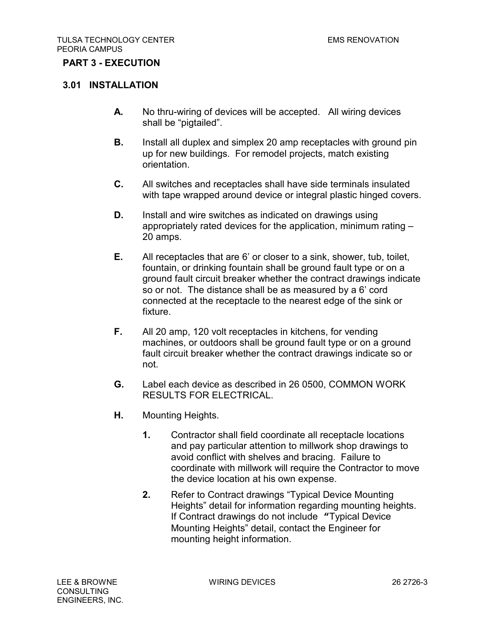## **PART 3 - EXECUTION**

### **3.01 INSTALLATION**

- **A.** No thru-wiring of devices will be accepted. All wiring devices shall be "pigtailed".
- **B.** Install all duplex and simplex 20 amp receptacles with ground pin up for new buildings. For remodel projects, match existing orientation.
- **C.** All switches and receptacles shall have side terminals insulated with tape wrapped around device or integral plastic hinged covers.
- **D.** Install and wire switches as indicated on drawings using appropriately rated devices for the application, minimum rating – 20 amps.
- **E.** All receptacles that are 6' or closer to a sink, shower, tub, toilet, fountain, or drinking fountain shall be ground fault type or on a ground fault circuit breaker whether the contract drawings indicate so or not. The distance shall be as measured by a 6' cord connected at the receptacle to the nearest edge of the sink or fixture.
- **F.** All 20 amp, 120 volt receptacles in kitchens, for vending machines, or outdoors shall be ground fault type or on a ground fault circuit breaker whether the contract drawings indicate so or not.
- **G.** Label each device as described in 26 0500, COMMON WORK RESULTS FOR ELECTRICAL.
- **H.** Mounting Heights.
	- **1.** Contractor shall field coordinate all receptacle locations and pay particular attention to millwork shop drawings to avoid conflict with shelves and bracing. Failure to coordinate with millwork will require the Contractor to move the device location at his own expense.
	- **2.** Refer to Contract drawings "Typical Device Mounting Heights" detail for information regarding mounting heights. If Contract drawings do not include **"**Typical Device Mounting Heights" detail, contact the Engineer for mounting height information.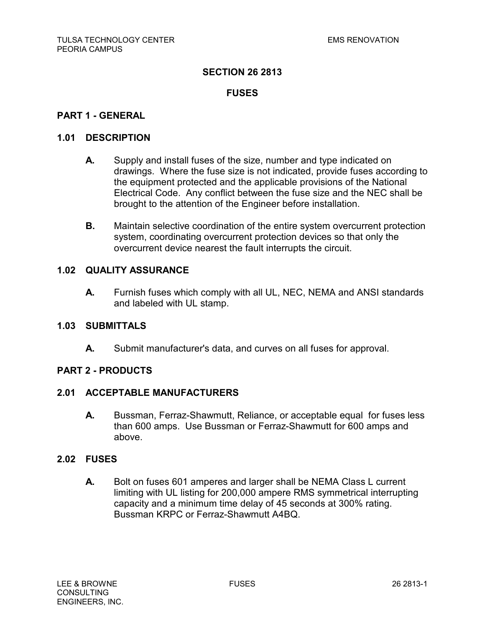# **FUSES**

### **PART 1 - GENERAL**

### **1.01 DESCRIPTION**

- **A.** Supply and install fuses of the size, number and type indicated on drawings. Where the fuse size is not indicated, provide fuses according to the equipment protected and the applicable provisions of the National Electrical Code. Any conflict between the fuse size and the NEC shall be brought to the attention of the Engineer before installation.
- **B.** Maintain selective coordination of the entire system overcurrent protection system, coordinating overcurrent protection devices so that only the overcurrent device nearest the fault interrupts the circuit.

### **1.02 QUALITY ASSURANCE**

**A.** Furnish fuses which comply with all UL, NEC, NEMA and ANSI standards and labeled with UL stamp.

### **1.03 SUBMITTALS**

**A.** Submit manufacturer's data, and curves on all fuses for approval.

### **PART 2 - PRODUCTS**

## **2.01 ACCEPTABLE MANUFACTURERS**

**A.** Bussman, Ferraz-Shawmutt, Reliance, or acceptable equal for fuses less than 600 amps. Use Bussman or Ferraz-Shawmutt for 600 amps and above.

### **2.02 FUSES**

**A.** Bolt on fuses 601 amperes and larger shall be NEMA Class L current limiting with UL listing for 200,000 ampere RMS symmetrical interrupting capacity and a minimum time delay of 45 seconds at 300% rating. Bussman KRPC or Ferraz-Shawmutt A4BQ.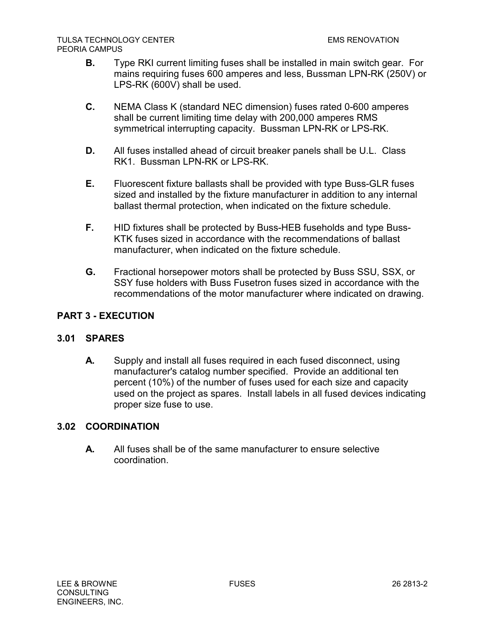- **B.** Type RKI current limiting fuses shall be installed in main switch gear. For mains requiring fuses 600 amperes and less, Bussman LPN-RK (250V) or LPS-RK (600V) shall be used.
- **C.** NEMA Class K (standard NEC dimension) fuses rated 0-600 amperes shall be current limiting time delay with 200,000 amperes RMS symmetrical interrupting capacity. Bussman LPN-RK or LPS-RK.
- **D.** All fuses installed ahead of circuit breaker panels shall be U.L. Class RK1. Bussman LPN-RK or LPS-RK.
- **E.** Fluorescent fixture ballasts shall be provided with type Buss-GLR fuses sized and installed by the fixture manufacturer in addition to any internal ballast thermal protection, when indicated on the fixture schedule.
- **F.** HID fixtures shall be protected by Buss-HEB fuseholds and type Buss-KTK fuses sized in accordance with the recommendations of ballast manufacturer, when indicated on the fixture schedule.
- **G.** Fractional horsepower motors shall be protected by Buss SSU, SSX, or SSY fuse holders with Buss Fusetron fuses sized in accordance with the recommendations of the motor manufacturer where indicated on drawing.

# **PART 3 - EXECUTION**

# **3.01 SPARES**

**A.** Supply and install all fuses required in each fused disconnect, using manufacturer's catalog number specified. Provide an additional ten percent (10%) of the number of fuses used for each size and capacity used on the project as spares. Install labels in all fused devices indicating proper size fuse to use.

# **3.02 COORDINATION**

**A.** All fuses shall be of the same manufacturer to ensure selective coordination.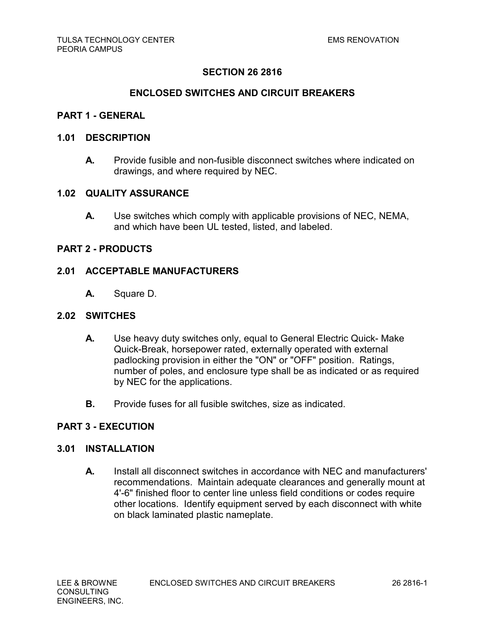### **ENCLOSED SWITCHES AND CIRCUIT BREAKERS**

### **PART 1 - GENERAL**

#### **1.01 DESCRIPTION**

**A.** Provide fusible and non-fusible disconnect switches where indicated on drawings, and where required by NEC.

#### **1.02 QUALITY ASSURANCE**

**A.** Use switches which comply with applicable provisions of NEC, NEMA, and which have been UL tested, listed, and labeled.

### **PART 2 - PRODUCTS**

### **2.01 ACCEPTABLE MANUFACTURERS**

**A.** Square D.

## **2.02 SWITCHES**

- **A.** Use heavy duty switches only, equal to General Electric Quick- Make Quick-Break, horsepower rated, externally operated with external padlocking provision in either the "ON" or "OFF" position. Ratings, number of poles, and enclosure type shall be as indicated or as required by NEC for the applications.
- **B.** Provide fuses for all fusible switches, size as indicated.

### **PART 3 - EXECUTION**

### **3.01 INSTALLATION**

**A.** Install all disconnect switches in accordance with NEC and manufacturers' recommendations. Maintain adequate clearances and generally mount at 4'-6" finished floor to center line unless field conditions or codes require other locations. Identify equipment served by each disconnect with white on black laminated plastic nameplate.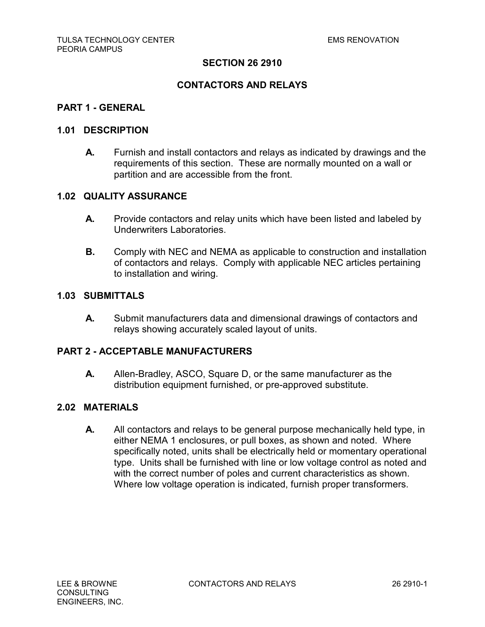## **CONTACTORS AND RELAYS**

### **PART 1 - GENERAL**

#### **1.01 DESCRIPTION**

**A.** Furnish and install contactors and relays as indicated by drawings and the requirements of this section. These are normally mounted on a wall or partition and are accessible from the front.

### **1.02 QUALITY ASSURANCE**

- **A.** Provide contactors and relay units which have been listed and labeled by Underwriters Laboratories.
- **B.** Comply with NEC and NEMA as applicable to construction and installation of contactors and relays. Comply with applicable NEC articles pertaining to installation and wiring.

#### **1.03 SUBMITTALS**

**A.** Submit manufacturers data and dimensional drawings of contactors and relays showing accurately scaled layout of units.

### **PART 2 - ACCEPTABLE MANUFACTURERS**

**A.** Allen-Bradley, ASCO, Square D, or the same manufacturer as the distribution equipment furnished, or pre-approved substitute.

# **2.02 MATERIALS**

**A.** All contactors and relays to be general purpose mechanically held type, in either NEMA 1 enclosures, or pull boxes, as shown and noted. Where specifically noted, units shall be electrically held or momentary operational type. Units shall be furnished with line or low voltage control as noted and with the correct number of poles and current characteristics as shown. Where low voltage operation is indicated, furnish proper transformers.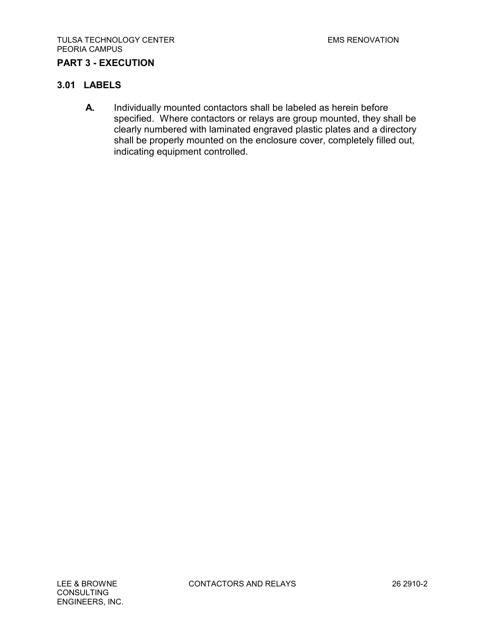# **PART 3 - EXECUTION**

## **3.01 LABELS**

**A.** Individually mounted contactors shall be labeled as herein before specified. Where contactors or relays are group mounted, they shall be clearly numbered with laminated engraved plastic plates and a directory shall be properly mounted on the enclosure cover, completely filled out, indicating equipment controlled.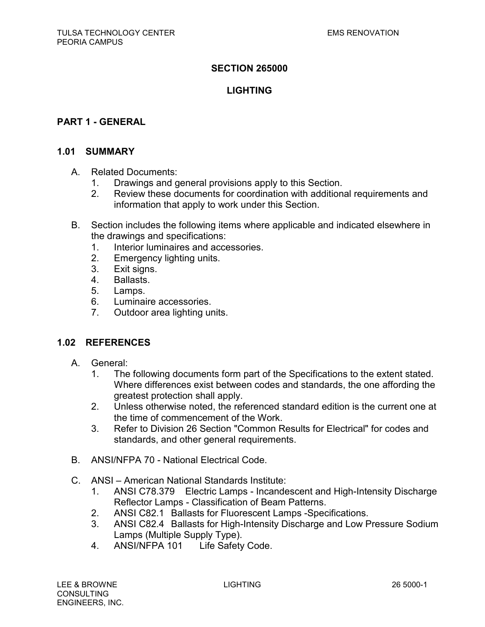# **SECTION 265000**

# **LIGHTING**

### **PART 1 - GENERAL**

### **1.01 SUMMARY**

- A. Related Documents:
	- 1. Drawings and general provisions apply to this Section.
	- 2. Review these documents for coordination with additional requirements and information that apply to work under this Section.
- B. Section includes the following items where applicable and indicated elsewhere in the drawings and specifications:
	- 1. Interior luminaires and accessories.
	- 2. Emergency lighting units.
	- 3. Exit signs.
	- 4. Ballasts.
	- 5. Lamps.
	- 6. Luminaire accessories.
	- 7. Outdoor area lighting units.

### **1.02 REFERENCES**

- A. General:
	- 1. The following documents form part of the Specifications to the extent stated. Where differences exist between codes and standards, the one affording the greatest protection shall apply.
	- 2. Unless otherwise noted, the referenced standard edition is the current one at the time of commencement of the Work.
	- 3. Refer to Division 26 Section "Common Results for Electrical" for codes and standards, and other general requirements.
- B. ANSI/NFPA 70 National Electrical Code.
- C. ANSI American National Standards Institute:
	- 1. ANSI C78.379 Electric Lamps Incandescent and High-Intensity Discharge Reflector Lamps - Classification of Beam Patterns.
	- 2. ANSI C82.1 Ballasts for Fluorescent Lamps -Specifications.
	- 3. ANSI C82.4 Ballasts for High-Intensity Discharge and Low Pressure Sodium Lamps (Multiple Supply Type).
	- 4. ANSI/NFPA 101 Life Safety Code.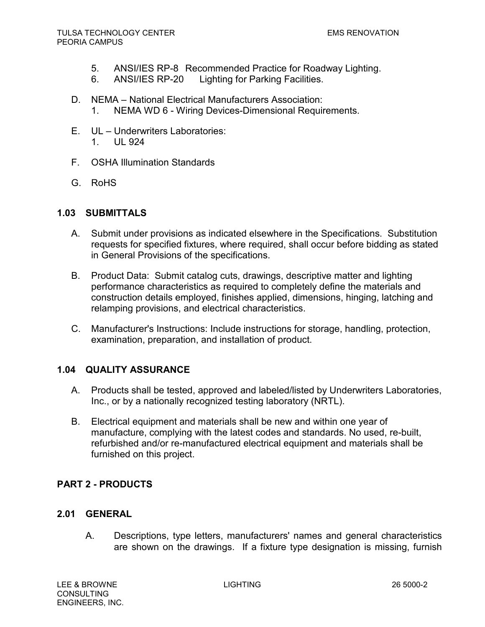- 5. ANSI/IES RP-8 Recommended Practice for Roadway Lighting.
- 6. ANSI/IES RP-20 Lighting for Parking Facilities.
- D. NEMA National Electrical Manufacturers Association: 1. NEMA WD 6 - Wiring Devices-Dimensional Requirements.
- E. UL Underwriters Laboratories: 1. UL 924
- F. OSHA Illumination Standards
- G. RoHS

## **1.03 SUBMITTALS**

- A. Submit under provisions as indicated elsewhere in the Specifications. Substitution requests for specified fixtures, where required, shall occur before bidding as stated in General Provisions of the specifications.
- B. Product Data: Submit catalog cuts, drawings, descriptive matter and lighting performance characteristics as required to completely define the materials and construction details employed, finishes applied, dimensions, hinging, latching and relamping provisions, and electrical characteristics.
- C. Manufacturer's Instructions: Include instructions for storage, handling, protection, examination, preparation, and installation of product.

# **1.04 QUALITY ASSURANCE**

- A. Products shall be tested, approved and labeled/listed by Underwriters Laboratories, Inc., or by a nationally recognized testing laboratory (NRTL).
- B. Electrical equipment and materials shall be new and within one year of manufacture, complying with the latest codes and standards. No used, re-built, refurbished and/or re-manufactured electrical equipment and materials shall be furnished on this project.

# **PART 2 - PRODUCTS**

### **2.01 GENERAL**

A. Descriptions, type letters, manufacturers' names and general characteristics are shown on the drawings. If a fixture type designation is missing, furnish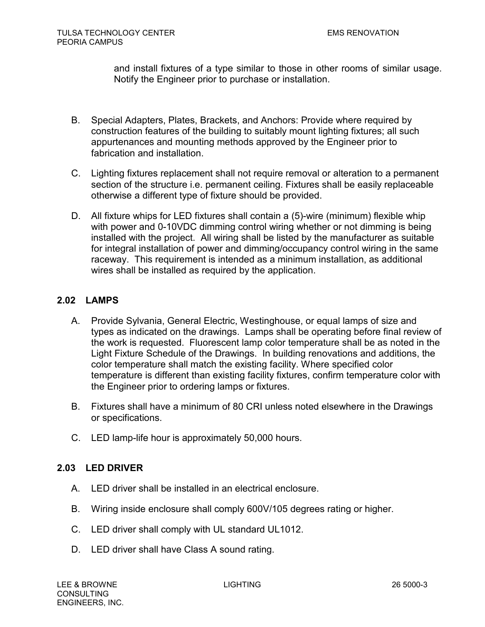and install fixtures of a type similar to those in other rooms of similar usage. Notify the Engineer prior to purchase or installation.

- B. Special Adapters, Plates, Brackets, and Anchors: Provide where required by construction features of the building to suitably mount lighting fixtures; all such appurtenances and mounting methods approved by the Engineer prior to fabrication and installation.
- C. Lighting fixtures replacement shall not require removal or alteration to a permanent section of the structure i.e. permanent ceiling. Fixtures shall be easily replaceable otherwise a different type of fixture should be provided.
- D. All fixture whips for LED fixtures shall contain a (5)-wire (minimum) flexible whip with power and 0-10VDC dimming control wiring whether or not dimming is being installed with the project. All wiring shall be listed by the manufacturer as suitable for integral installation of power and dimming/occupancy control wiring in the same raceway. This requirement is intended as a minimum installation, as additional wires shall be installed as required by the application.

# **2.02 LAMPS**

- A. Provide Sylvania, General Electric, Westinghouse, or equal lamps of size and types as indicated on the drawings. Lamps shall be operating before final review of the work is requested. Fluorescent lamp color temperature shall be as noted in the Light Fixture Schedule of the Drawings. In building renovations and additions, the color temperature shall match the existing facility. Where specified color temperature is different than existing facility fixtures, confirm temperature color with the Engineer prior to ordering lamps or fixtures.
- B. Fixtures shall have a minimum of 80 CRI unless noted elsewhere in the Drawings or specifications.
- C. LED lamp-life hour is approximately 50,000 hours.

# **2.03 LED DRIVER**

- A. LED driver shall be installed in an electrical enclosure.
- B. Wiring inside enclosure shall comply 600V/105 degrees rating or higher.
- C. LED driver shall comply with UL standard UL1012.
- D. LED driver shall have Class A sound rating.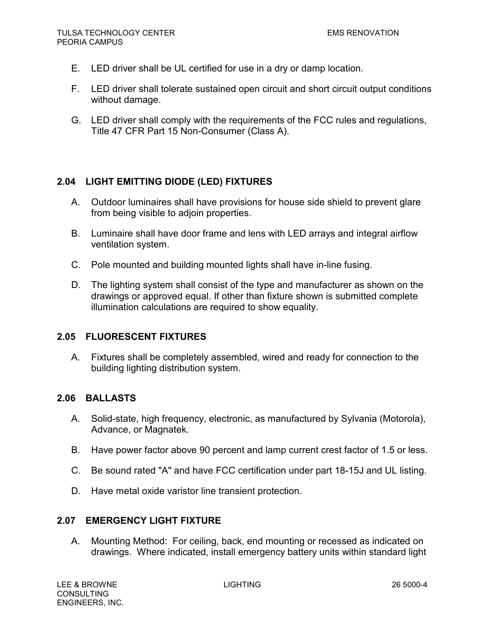- E. LED driver shall be UL certified for use in a dry or damp location.
- F. LED driver shall tolerate sustained open circuit and short circuit output conditions without damage.
- G. LED driver shall comply with the requirements of the FCC rules and regulations, Title 47 CFR Part 15 Non-Consumer (Class A).

# **2.04 LIGHT EMITTING DIODE (LED) FIXTURES**

- A. Outdoor luminaires shall have provisions for house side shield to prevent glare from being visible to adjoin properties.
- B. Luminaire shall have door frame and lens with LED arrays and integral airflow ventilation system.
- C. Pole mounted and building mounted lights shall have in-line fusing.
- D. The lighting system shall consist of the type and manufacturer as shown on the drawings or approved equal. If other than fixture shown is submitted complete illumination calculations are required to show equality.

# **2.05 FLUORESCENT FIXTURES**

A. Fixtures shall be completely assembled, wired and ready for connection to the building lighting distribution system.

# **2.06 BALLASTS**

- A. Solid-state, high frequency, electronic, as manufactured by Sylvania (Motorola), Advance, or Magnatek.
- B. Have power factor above 90 percent and lamp current crest factor of 1.5 or less.
- C. Be sound rated "A" and have FCC certification under part 18-15J and UL listing.
- D. Have metal oxide varistor line transient protection.

### **2.07 EMERGENCY LIGHT FIXTURE**

A. Mounting Method: For ceiling, back, end mounting or recessed as indicated on drawings. Where indicated, install emergency battery units within standard light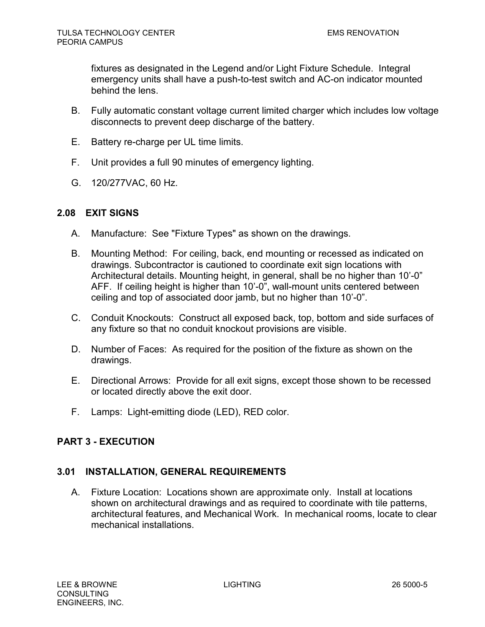fixtures as designated in the Legend and/or Light Fixture Schedule. Integral emergency units shall have a push-to-test switch and AC-on indicator mounted behind the lens.

- B. Fully automatic constant voltage current limited charger which includes low voltage disconnects to prevent deep discharge of the battery.
- E. Battery re-charge per UL time limits.
- F. Unit provides a full 90 minutes of emergency lighting.
- G. 120/277VAC, 60 Hz.

# **2.08 EXIT SIGNS**

- A. Manufacture: See "Fixture Types" as shown on the drawings.
- B. Mounting Method: For ceiling, back, end mounting or recessed as indicated on drawings. Subcontractor is cautioned to coordinate exit sign locations with Architectural details. Mounting height, in general, shall be no higher than 10'-0" AFF. If ceiling height is higher than 10'-0", wall-mount units centered between ceiling and top of associated door jamb, but no higher than 10'-0".
- C. Conduit Knockouts: Construct all exposed back, top, bottom and side surfaces of any fixture so that no conduit knockout provisions are visible.
- D. Number of Faces: As required for the position of the fixture as shown on the drawings.
- E. Directional Arrows: Provide for all exit signs, except those shown to be recessed or located directly above the exit door.
- F. Lamps: Light-emitting diode (LED), RED color.

# **PART 3 - EXECUTION**

# **3.01 INSTALLATION, GENERAL REQUIREMENTS**

A. Fixture Location: Locations shown are approximate only. Install at locations shown on architectural drawings and as required to coordinate with tile patterns, architectural features, and Mechanical Work. In mechanical rooms, locate to clear mechanical installations.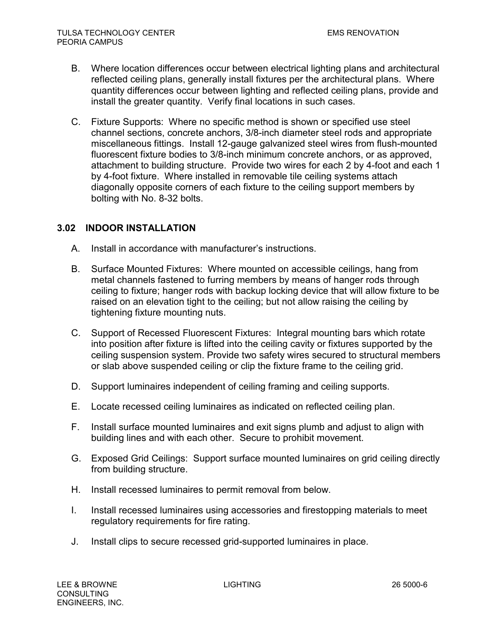- B. Where location differences occur between electrical lighting plans and architectural reflected ceiling plans, generally install fixtures per the architectural plans. Where quantity differences occur between lighting and reflected ceiling plans, provide and install the greater quantity. Verify final locations in such cases.
- C. Fixture Supports: Where no specific method is shown or specified use steel channel sections, concrete anchors, 3/8-inch diameter steel rods and appropriate miscellaneous fittings. Install 12-gauge galvanized steel wires from flush-mounted fluorescent fixture bodies to 3/8-inch minimum concrete anchors, or as approved, attachment to building structure. Provide two wires for each 2 by 4-foot and each 1 by 4-foot fixture. Where installed in removable tile ceiling systems attach diagonally opposite corners of each fixture to the ceiling support members by bolting with No. 8-32 bolts.

# **3.02 INDOOR INSTALLATION**

- A. Install in accordance with manufacturer's instructions.
- B. Surface Mounted Fixtures: Where mounted on accessible ceilings, hang from metal channels fastened to furring members by means of hanger rods through ceiling to fixture; hanger rods with backup locking device that will allow fixture to be raised on an elevation tight to the ceiling; but not allow raising the ceiling by tightening fixture mounting nuts.
- C. Support of Recessed Fluorescent Fixtures: Integral mounting bars which rotate into position after fixture is lifted into the ceiling cavity or fixtures supported by the ceiling suspension system. Provide two safety wires secured to structural members or slab above suspended ceiling or clip the fixture frame to the ceiling grid.
- D. Support luminaires independent of ceiling framing and ceiling supports.
- E. Locate recessed ceiling luminaires as indicated on reflected ceiling plan.
- F. Install surface mounted luminaires and exit signs plumb and adjust to align with building lines and with each other. Secure to prohibit movement.
- G. Exposed Grid Ceilings: Support surface mounted luminaires on grid ceiling directly from building structure.
- H. Install recessed luminaires to permit removal from below.
- I. Install recessed luminaires using accessories and firestopping materials to meet regulatory requirements for fire rating.
- J. Install clips to secure recessed grid-supported luminaires in place.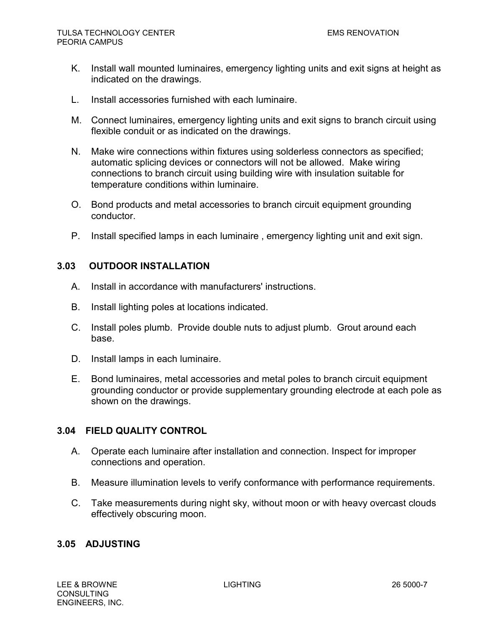- K. Install wall mounted luminaires, emergency lighting units and exit signs at height as indicated on the drawings.
- L. Install accessories furnished with each luminaire.
- M. Connect luminaires, emergency lighting units and exit signs to branch circuit using flexible conduit or as indicated on the drawings.
- N. Make wire connections within fixtures using solderless connectors as specified; automatic splicing devices or connectors will not be allowed. Make wiring connections to branch circuit using building wire with insulation suitable for temperature conditions within luminaire.
- O. Bond products and metal accessories to branch circuit equipment grounding conductor.
- P. Install specified lamps in each luminaire , emergency lighting unit and exit sign.

## **3.03 OUTDOOR INSTALLATION**

- A. Install in accordance with manufacturers' instructions.
- B. Install lighting poles at locations indicated.
- C. Install poles plumb. Provide double nuts to adjust plumb. Grout around each base.
- D. Install lamps in each luminaire.
- E. Bond luminaires, metal accessories and metal poles to branch circuit equipment grounding conductor or provide supplementary grounding electrode at each pole as shown on the drawings.

### **3.04 FIELD QUALITY CONTROL**

- A. Operate each luminaire after installation and connection. Inspect for improper connections and operation.
- B. Measure illumination levels to verify conformance with performance requirements.
- C. Take measurements during night sky, without moon or with heavy overcast clouds effectively obscuring moon.

### **3.05 ADJUSTING**